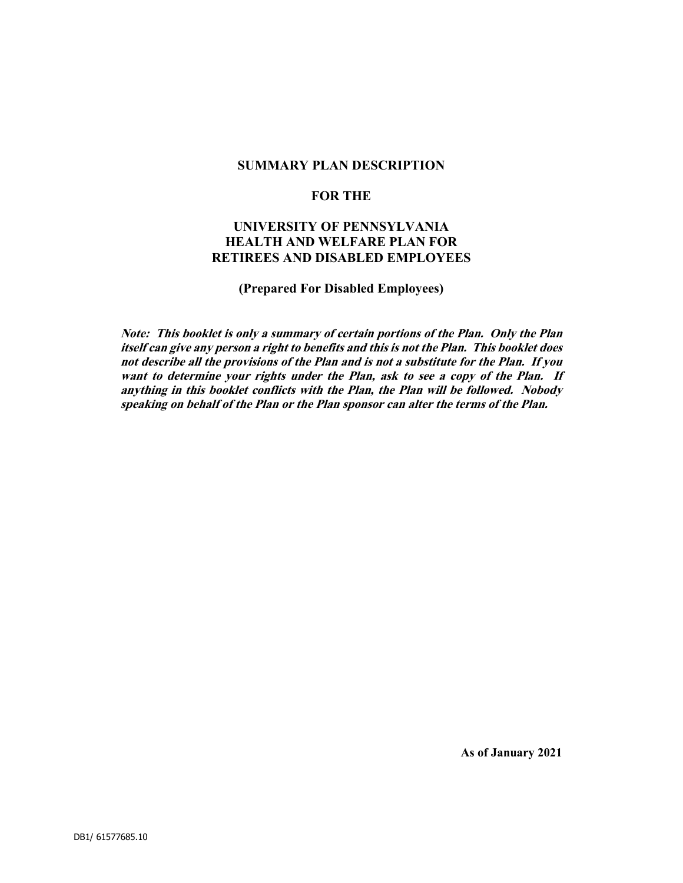### **SUMMARY PLAN DESCRIPTION**

### **FOR THE**

## **UNIVERSITY OF PENNSYLVANIA HEALTH AND WELFARE PLAN FOR RETIREES AND DISABLED EMPLOYEES**

**(Prepared For Disabled Employees)**

**Note: This booklet is only a summary of certain portions of the Plan. Only the Plan itself can give any person a right to benefits and this is not the Plan. This booklet does not describe all the provisions of the Plan and is not a substitute for the Plan. If you want to determine your rights under the Plan, ask to see a copy of the Plan. If anything in this booklet conflicts with the Plan, the Plan will be followed. Nobody speaking on behalf of the Plan or the Plan sponsor can alter the terms of the Plan.**

**As of January 2021**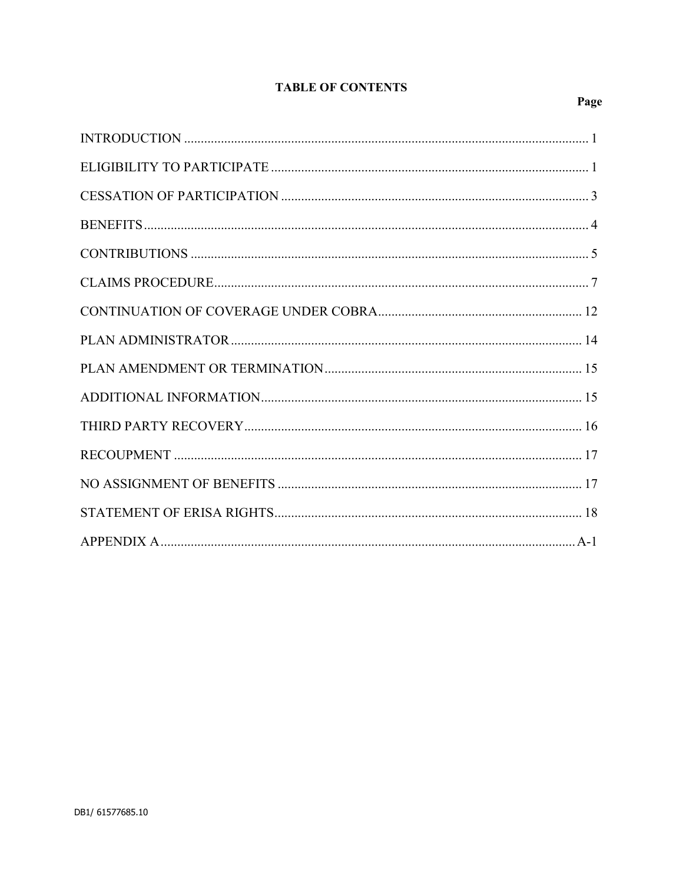## **TABLE OF CONTENTS**

## Page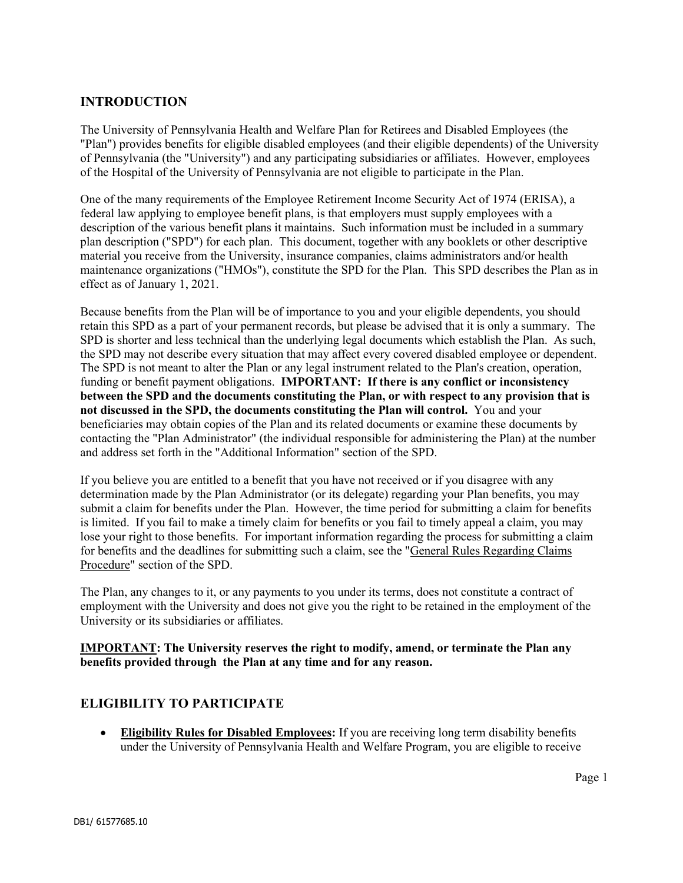## <span id="page-2-0"></span>**INTRODUCTION**

The University of Pennsylvania Health and Welfare Plan for Retirees and Disabled Employees (the "Plan") provides benefits for eligible disabled employees (and their eligible dependents) of the University of Pennsylvania (the "University") and any participating subsidiaries or affiliates. However, employees of the Hospital of the University of Pennsylvania are not eligible to participate in the Plan.

One of the many requirements of the Employee Retirement Income Security Act of 1974 (ERISA), a federal law applying to employee benefit plans, is that employers must supply employees with a description of the various benefit plans it maintains. Such information must be included in a summary plan description ("SPD") for each plan. This document, together with any booklets or other descriptive material you receive from the University, insurance companies, claims administrators and/or health maintenance organizations ("HMOs"), constitute the SPD for the Plan. This SPD describes the Plan as in effect as of January 1, 2021.

Because benefits from the Plan will be of importance to you and your eligible dependents, you should retain this SPD as a part of your permanent records, but please be advised that it is only a summary. The SPD is shorter and less technical than the underlying legal documents which establish the Plan. As such, the SPD may not describe every situation that may affect every covered disabled employee or dependent. The SPD is not meant to alter the Plan or any legal instrument related to the Plan's creation, operation, funding or benefit payment obligations. **IMPORTANT: If there is any conflict or inconsistency between the SPD and the documents constituting the Plan, or with respect to any provision that is not discussed in the SPD, the documents constituting the Plan will control.** You and your beneficiaries may obtain copies of the Plan and its related documents or examine these documents by contacting the "Plan Administrator" (the individual responsible for administering the Plan) at the number and address set forth in the "Additional Information" section of the SPD.

If you believe you are entitled to a benefit that you have not received or if you disagree with any determination made by the Plan Administrator (or its delegate) regarding your Plan benefits, you may submit a claim for benefits under the Plan. However, the time period for submitting a claim for benefits is limited. If you fail to make a timely claim for benefits or you fail to timely appeal a claim, you may lose your right to those benefits. For important information regarding the process for submitting a claim for benefits and the deadlines for submitting such a claim, see the "General Rules Regarding Claims Procedure" section of the SPD.

The Plan, any changes to it, or any payments to you under its terms, does not constitute a contract of employment with the University and does not give you the right to be retained in the employment of the University or its subsidiaries or affiliates.

**IMPORTANT: The University reserves the right to modify, amend, or terminate the Plan any benefits provided through the Plan at any time and for any reason.**

### <span id="page-2-1"></span>**ELIGIBILITY TO PARTICIPATE**

• **Eligibility Rules for Disabled Employees:** If you are receiving long term disability benefits under the University of Pennsylvania Health and Welfare Program, you are eligible to receive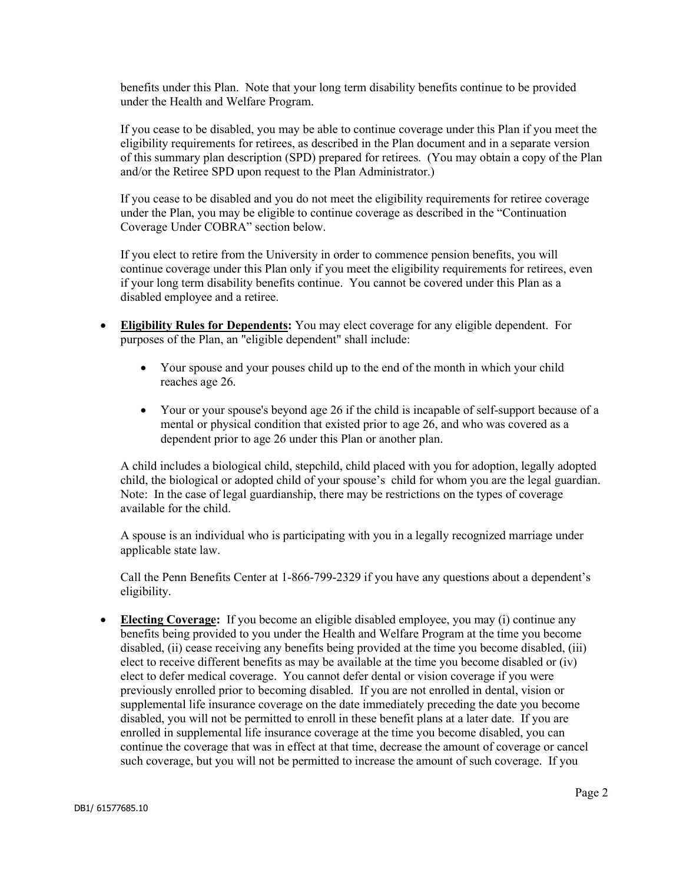benefits under this Plan. Note that your long term disability benefits continue to be provided under the Health and Welfare Program.

If you cease to be disabled, you may be able to continue coverage under this Plan if you meet the eligibility requirements for retirees, as described in the Plan document and in a separate version of this summary plan description (SPD) prepared for retirees. (You may obtain a copy of the Plan and/or the Retiree SPD upon request to the Plan Administrator.)

If you cease to be disabled and you do not meet the eligibility requirements for retiree coverage under the Plan, you may be eligible to continue coverage as described in the "Continuation Coverage Under COBRA" section below.

If you elect to retire from the University in order to commence pension benefits, you will continue coverage under this Plan only if you meet the eligibility requirements for retirees, even if your long term disability benefits continue. You cannot be covered under this Plan as a disabled employee and a retiree.

- **Eligibility Rules for Dependents:** You may elect coverage for any eligible dependent. For purposes of the Plan, an "eligible dependent" shall include:
	- Your spouse and your pouses child up to the end of the month in which your child reaches age 26.
	- Your or your spouse's beyond age 26 if the child is incapable of self-support because of a mental or physical condition that existed prior to age 26, and who was covered as a dependent prior to age 26 under this Plan or another plan.

A child includes a biological child, stepchild, child placed with you for adoption, legally adopted child, the biological or adopted child of your spouse's child for whom you are the legal guardian. Note: In the case of legal guardianship, there may be restrictions on the types of coverage available for the child.

A spouse is an individual who is participating with you in a legally recognized marriage under applicable state law.

Call the Penn Benefits Center at 1-866-799-2329 if you have any questions about a dependent's eligibility.

• **Electing Coverage:** If you become an eligible disabled employee, you may (i) continue any benefits being provided to you under the Health and Welfare Program at the time you become disabled, (ii) cease receiving any benefits being provided at the time you become disabled, (iii) elect to receive different benefits as may be available at the time you become disabled or (iv) elect to defer medical coverage. You cannot defer dental or vision coverage if you were previously enrolled prior to becoming disabled. If you are not enrolled in dental, vision or supplemental life insurance coverage on the date immediately preceding the date you become disabled, you will not be permitted to enroll in these benefit plans at a later date. If you are enrolled in supplemental life insurance coverage at the time you become disabled, you can continue the coverage that was in effect at that time, decrease the amount of coverage or cancel such coverage, but you will not be permitted to increase the amount of such coverage. If you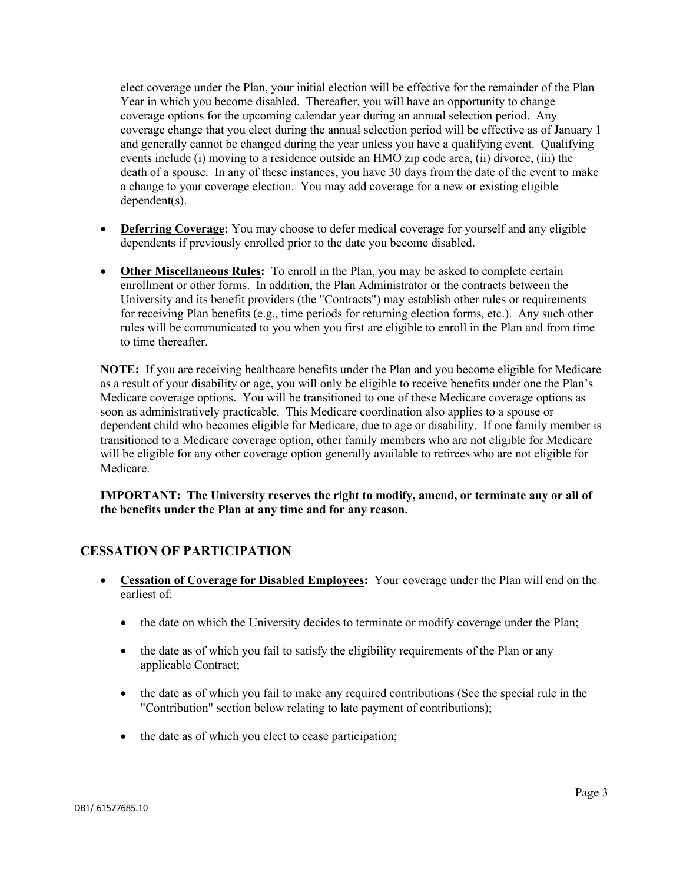elect coverage under the Plan, your initial election will be effective for the remainder of the Plan Year in which you become disabled. Thereafter, you will have an opportunity to change coverage options for the upcoming calendar year during an annual selection period. Any coverage change that you elect during the annual selection period will be effective as of January 1 and generally cannot be changed during the year unless you have a qualifying event. Qualifying events include (i) moving to a residence outside an HMO zip code area, (ii) divorce, (iii) the death of a spouse. In any of these instances, you have 30 days from the date of the event to make a change to your coverage election. You may add coverage for a new or existing eligible dependent(s).

- **Deferring Coverage:** You may choose to defer medical coverage for yourself and any eligible dependents if previously enrolled prior to the date you become disabled.
- **Other Miscellaneous Rules:** To enroll in the Plan, you may be asked to complete certain enrollment or other forms. In addition, the Plan Administrator or the contracts between the University and its benefit providers (the "Contracts") may establish other rules or requirements for receiving Plan benefits (e.g., time periods for returning election forms, etc.). Any such other rules will be communicated to you when you first are eligible to enroll in the Plan and from time to time thereafter.

**NOTE:** If you are receiving healthcare benefits under the Plan and you become eligible for Medicare as a result of your disability or age, you will only be eligible to receive benefits under one the Plan's Medicare coverage options. You will be transitioned to one of these Medicare coverage options as soon as administratively practicable. This Medicare coordination also applies to a spouse or dependent child who becomes eligible for Medicare, due to age or disability. If one family member is transitioned to a Medicare coverage option, other family members who are not eligible for Medicare will be eligible for any other coverage option generally available to retirees who are not eligible for Medicare.

**IMPORTANT: The University reserves the right to modify, amend, or terminate any or all of the benefits under the Plan at any time and for any reason.**

### <span id="page-4-0"></span>**CESSATION OF PARTICIPATION**

- **Cessation of Coverage for Disabled Employees:** Your coverage under the Plan will end on the earliest of:
	- the date on which the University decides to terminate or modify coverage under the Plan;
	- the date as of which you fail to satisfy the eligibility requirements of the Plan or any applicable Contract;
	- the date as of which you fail to make any required contributions (See the special rule in the "Contribution" section below relating to late payment of contributions);
	- the date as of which you elect to cease participation;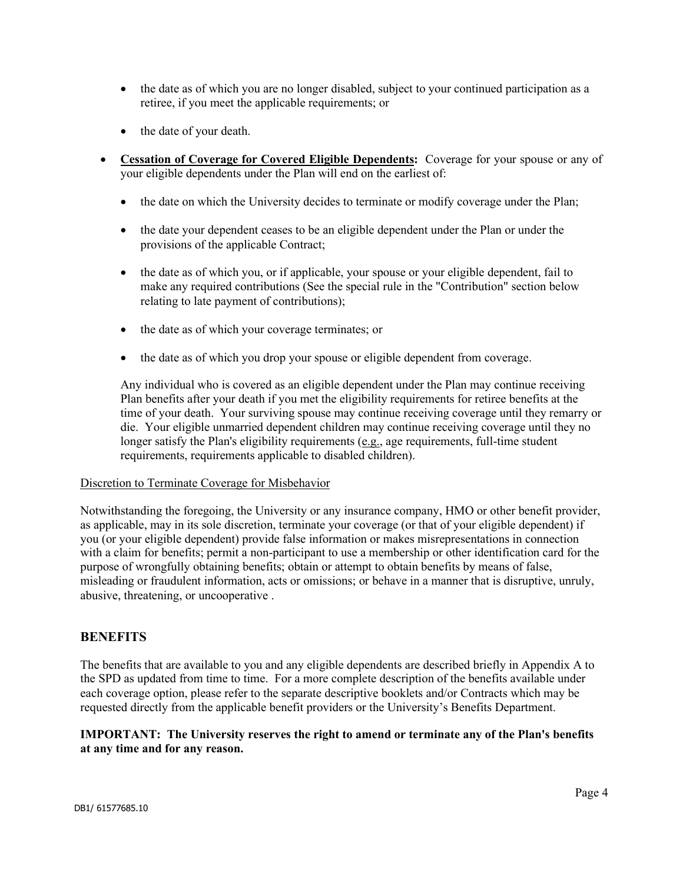- the date as of which you are no longer disabled, subject to your continued participation as a retiree, if you meet the applicable requirements; or
- the date of your death.
- **Cessation of Coverage for Covered Eligible Dependents:** Coverage for your spouse or any of your eligible dependents under the Plan will end on the earliest of:
	- the date on which the University decides to terminate or modify coverage under the Plan;
	- the date your dependent ceases to be an eligible dependent under the Plan or under the provisions of the applicable Contract;
	- the date as of which you, or if applicable, your spouse or your eligible dependent, fail to make any required contributions (See the special rule in the "Contribution" section below relating to late payment of contributions);
	- the date as of which your coverage terminates; or
	- the date as of which you drop your spouse or eligible dependent from coverage.

Any individual who is covered as an eligible dependent under the Plan may continue receiving Plan benefits after your death if you met the eligibility requirements for retiree benefits at the time of your death. Your surviving spouse may continue receiving coverage until they remarry or die. Your eligible unmarried dependent children may continue receiving coverage until they no longer satisfy the Plan's eligibility requirements (e.g., age requirements, full-time student requirements, requirements applicable to disabled children).

#### Discretion to Terminate Coverage for Misbehavior

Notwithstanding the foregoing, the University or any insurance company, HMO or other benefit provider, as applicable, may in its sole discretion, terminate your coverage (or that of your eligible dependent) if you (or your eligible dependent) provide false information or makes misrepresentations in connection with a claim for benefits; permit a non-participant to use a membership or other identification card for the purpose of wrongfully obtaining benefits; obtain or attempt to obtain benefits by means of false, misleading or fraudulent information, acts or omissions; or behave in a manner that is disruptive, unruly, abusive, threatening, or uncooperative .

### <span id="page-5-0"></span>**BENEFITS**

The benefits that are available to you and any eligible dependents are described briefly in Appendix A to the SPD as updated from time to time. For a more complete description of the benefits available under each coverage option, please refer to the separate descriptive booklets and/or Contracts which may be requested directly from the applicable benefit providers or the University's Benefits Department.

### **IMPORTANT: The University reserves the right to amend or terminate any of the Plan's benefits at any time and for any reason.**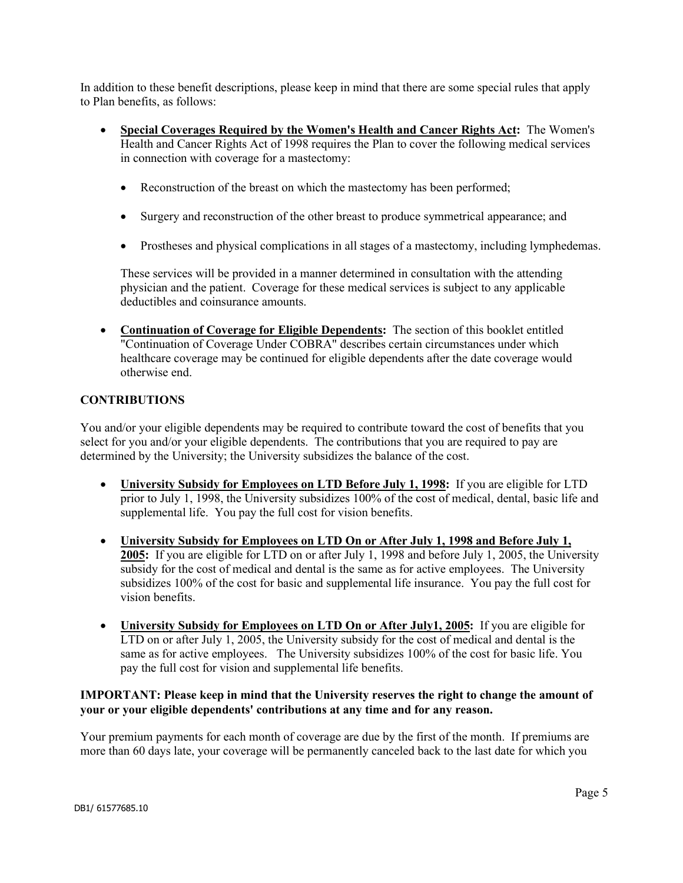In addition to these benefit descriptions, please keep in mind that there are some special rules that apply to Plan benefits, as follows:

- **Special Coverages Required by the Women's Health and Cancer Rights Act:** The Women's Health and Cancer Rights Act of 1998 requires the Plan to cover the following medical services in connection with coverage for a mastectomy:
	- Reconstruction of the breast on which the mastectomy has been performed;
	- Surgery and reconstruction of the other breast to produce symmetrical appearance; and
	- Prostheses and physical complications in all stages of a mastectomy, including lymphedemas.

These services will be provided in a manner determined in consultation with the attending physician and the patient. Coverage for these medical services is subject to any applicable deductibles and coinsurance amounts.

• **Continuation of Coverage for Eligible Dependents:** The section of this booklet entitled "Continuation of Coverage Under COBRA" describes certain circumstances under which healthcare coverage may be continued for eligible dependents after the date coverage would otherwise end.

### <span id="page-6-0"></span>**CONTRIBUTIONS**

You and/or your eligible dependents may be required to contribute toward the cost of benefits that you select for you and/or your eligible dependents. The contributions that you are required to pay are determined by the University; the University subsidizes the balance of the cost.

- **University Subsidy for Employees on LTD Before July 1, 1998:** If you are eligible for LTD prior to July 1, 1998, the University subsidizes 100% of the cost of medical, dental, basic life and supplemental life. You pay the full cost for vision benefits.
- **University Subsidy for Employees on LTD On or After July 1, 1998 and Before July 1, 2005:** If you are eligible for LTD on or after July 1, 1998 and before July 1, 2005, the University subsidy for the cost of medical and dental is the same as for active employees. The University subsidizes 100% of the cost for basic and supplemental life insurance. You pay the full cost for vision benefits.
- **University Subsidy for Employees on LTD On or After July1, 2005:** If you are eligible for LTD on or after July 1, 2005, the University subsidy for the cost of medical and dental is the same as for active employees. The University subsidizes 100% of the cost for basic life. You pay the full cost for vision and supplemental life benefits.

### **IMPORTANT: Please keep in mind that the University reserves the right to change the amount of your or your eligible dependents' contributions at any time and for any reason.**

Your premium payments for each month of coverage are due by the first of the month. If premiums are more than 60 days late, your coverage will be permanently canceled back to the last date for which you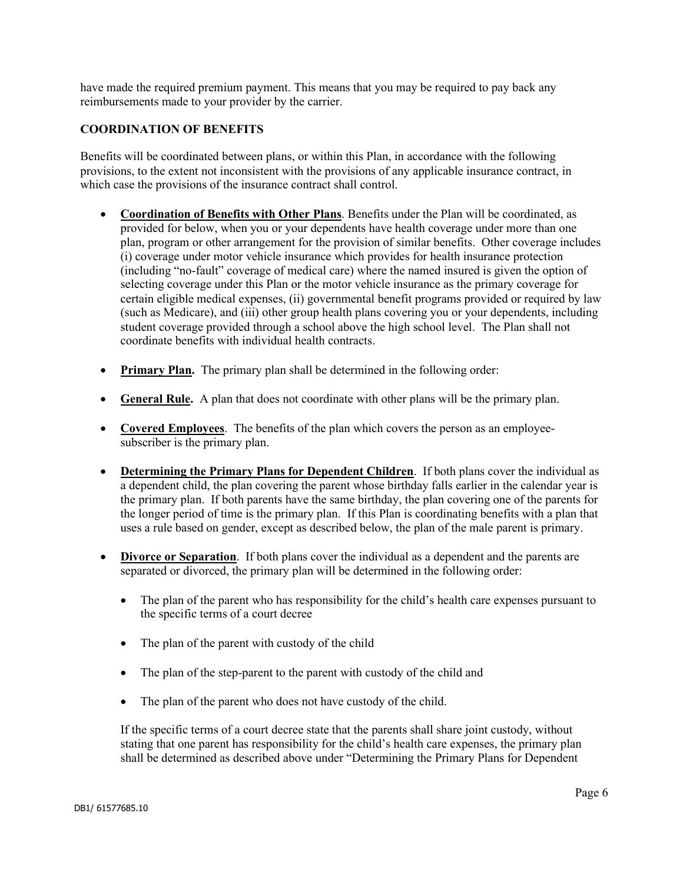have made the required premium payment. This means that you may be required to pay back any reimbursements made to your provider by the carrier.

### **COORDINATION OF BENEFITS**

Benefits will be coordinated between plans, or within this Plan, in accordance with the following provisions, to the extent not inconsistent with the provisions of any applicable insurance contract, in which case the provisions of the insurance contract shall control.

- **Coordination of Benefits with Other Plans**. Benefits under the Plan will be coordinated, as provided for below, when you or your dependents have health coverage under more than one plan, program or other arrangement for the provision of similar benefits. Other coverage includes (i) coverage under motor vehicle insurance which provides for health insurance protection (including "no-fault" coverage of medical care) where the named insured is given the option of selecting coverage under this Plan or the motor vehicle insurance as the primary coverage for certain eligible medical expenses, (ii) governmental benefit programs provided or required by law (such as Medicare), and (iii) other group health plans covering you or your dependents, including student coverage provided through a school above the high school level. The Plan shall not coordinate benefits with individual health contracts.
- **Primary Plan.** The primary plan shall be determined in the following order:
- **General Rule.** A plan that does not coordinate with other plans will be the primary plan.
- **Covered Employees**. The benefits of the plan which covers the person as an employeesubscriber is the primary plan.
- **Determining the Primary Plans for Dependent Children**. If both plans cover the individual as a dependent child, the plan covering the parent whose birthday falls earlier in the calendar year is the primary plan. If both parents have the same birthday, the plan covering one of the parents for the longer period of time is the primary plan. If this Plan is coordinating benefits with a plan that uses a rule based on gender, except as described below, the plan of the male parent is primary.
- **Divorce or Separation**. If both plans cover the individual as a dependent and the parents are separated or divorced, the primary plan will be determined in the following order:
	- The plan of the parent who has responsibility for the child's health care expenses pursuant to the specific terms of a court decree
	- The plan of the parent with custody of the child
	- The plan of the step-parent to the parent with custody of the child and
	- The plan of the parent who does not have custody of the child.

If the specific terms of a court decree state that the parents shall share joint custody, without stating that one parent has responsibility for the child's health care expenses, the primary plan shall be determined as described above under "Determining the Primary Plans for Dependent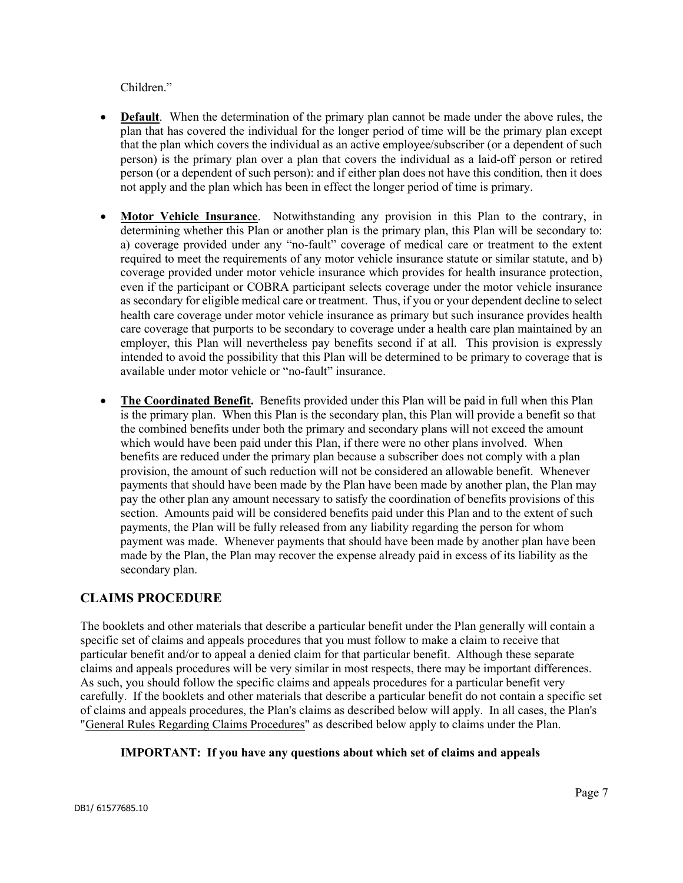Children."

- **Default**. When the determination of the primary plan cannot be made under the above rules, the plan that has covered the individual for the longer period of time will be the primary plan except that the plan which covers the individual as an active employee/subscriber (or a dependent of such person) is the primary plan over a plan that covers the individual as a laid-off person or retired person (or a dependent of such person): and if either plan does not have this condition, then it does not apply and the plan which has been in effect the longer period of time is primary.
- **Motor Vehicle Insurance**. Notwithstanding any provision in this Plan to the contrary, in determining whether this Plan or another plan is the primary plan, this Plan will be secondary to: a) coverage provided under any "no-fault" coverage of medical care or treatment to the extent required to meet the requirements of any motor vehicle insurance statute or similar statute, and b) coverage provided under motor vehicle insurance which provides for health insurance protection, even if the participant or COBRA participant selects coverage under the motor vehicle insurance as secondary for eligible medical care or treatment. Thus, if you or your dependent decline to select health care coverage under motor vehicle insurance as primary but such insurance provides health care coverage that purports to be secondary to coverage under a health care plan maintained by an employer, this Plan will nevertheless pay benefits second if at all. This provision is expressly intended to avoid the possibility that this Plan will be determined to be primary to coverage that is available under motor vehicle or "no-fault" insurance.
- **The Coordinated Benefit.** Benefits provided under this Plan will be paid in full when this Plan is the primary plan. When this Plan is the secondary plan, this Plan will provide a benefit so that the combined benefits under both the primary and secondary plans will not exceed the amount which would have been paid under this Plan, if there were no other plans involved. When benefits are reduced under the primary plan because a subscriber does not comply with a plan provision, the amount of such reduction will not be considered an allowable benefit. Whenever payments that should have been made by the Plan have been made by another plan, the Plan may pay the other plan any amount necessary to satisfy the coordination of benefits provisions of this section. Amounts paid will be considered benefits paid under this Plan and to the extent of such payments, the Plan will be fully released from any liability regarding the person for whom payment was made. Whenever payments that should have been made by another plan have been made by the Plan, the Plan may recover the expense already paid in excess of its liability as the secondary plan.

## <span id="page-8-0"></span>**CLAIMS PROCEDURE**

The booklets and other materials that describe a particular benefit under the Plan generally will contain a specific set of claims and appeals procedures that you must follow to make a claim to receive that particular benefit and/or to appeal a denied claim for that particular benefit. Although these separate claims and appeals procedures will be very similar in most respects, there may be important differences. As such, you should follow the specific claims and appeals procedures for a particular benefit very carefully. If the booklets and other materials that describe a particular benefit do not contain a specific set of claims and appeals procedures, the Plan's claims as described below will apply. In all cases, the Plan's "General Rules Regarding Claims Procedures" as described below apply to claims under the Plan.

### **IMPORTANT: If you have any questions about which set of claims and appeals**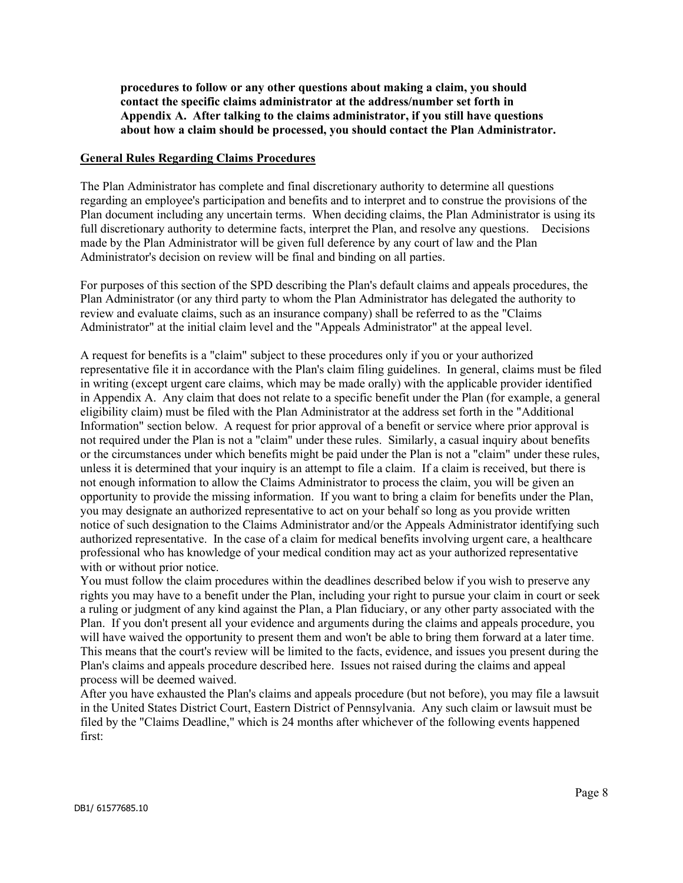**procedures to follow or any other questions about making a claim, you should contact the specific claims administrator at the address/number set forth in Appendix A. After talking to the claims administrator, if you still have questions about how a claim should be processed, you should contact the Plan Administrator.** 

#### **General Rules Regarding Claims Procedures**

The Plan Administrator has complete and final discretionary authority to determine all questions regarding an employee's participation and benefits and to interpret and to construe the provisions of the Plan document including any uncertain terms. When deciding claims, the Plan Administrator is using its full discretionary authority to determine facts, interpret the Plan, and resolve any questions. Decisions made by the Plan Administrator will be given full deference by any court of law and the Plan Administrator's decision on review will be final and binding on all parties.

For purposes of this section of the SPD describing the Plan's default claims and appeals procedures, the Plan Administrator (or any third party to whom the Plan Administrator has delegated the authority to review and evaluate claims, such as an insurance company) shall be referred to as the "Claims Administrator" at the initial claim level and the "Appeals Administrator" at the appeal level.

A request for benefits is a "claim" subject to these procedures only if you or your authorized representative file it in accordance with the Plan's claim filing guidelines. In general, claims must be filed in writing (except urgent care claims, which may be made orally) with the applicable provider identified in Appendix A. Any claim that does not relate to a specific benefit under the Plan (for example, a general eligibility claim) must be filed with the Plan Administrator at the address set forth in the "Additional Information" section below. A request for prior approval of a benefit or service where prior approval is not required under the Plan is not a "claim" under these rules. Similarly, a casual inquiry about benefits or the circumstances under which benefits might be paid under the Plan is not a "claim" under these rules, unless it is determined that your inquiry is an attempt to file a claim. If a claim is received, but there is not enough information to allow the Claims Administrator to process the claim, you will be given an opportunity to provide the missing information. If you want to bring a claim for benefits under the Plan, you may designate an authorized representative to act on your behalf so long as you provide written notice of such designation to the Claims Administrator and/or the Appeals Administrator identifying such authorized representative. In the case of a claim for medical benefits involving urgent care, a healthcare professional who has knowledge of your medical condition may act as your authorized representative with or without prior notice.

You must follow the claim procedures within the deadlines described below if you wish to preserve any rights you may have to a benefit under the Plan, including your right to pursue your claim in court or seek a ruling or judgment of any kind against the Plan, a Plan fiduciary, or any other party associated with the Plan. If you don't present all your evidence and arguments during the claims and appeals procedure, you will have waived the opportunity to present them and won't be able to bring them forward at a later time. This means that the court's review will be limited to the facts, evidence, and issues you present during the Plan's claims and appeals procedure described here. Issues not raised during the claims and appeal process will be deemed waived.

After you have exhausted the Plan's claims and appeals procedure (but not before), you may file a lawsuit in the United States District Court, Eastern District of Pennsylvania. Any such claim or lawsuit must be filed by the "Claims Deadline," which is 24 months after whichever of the following events happened first: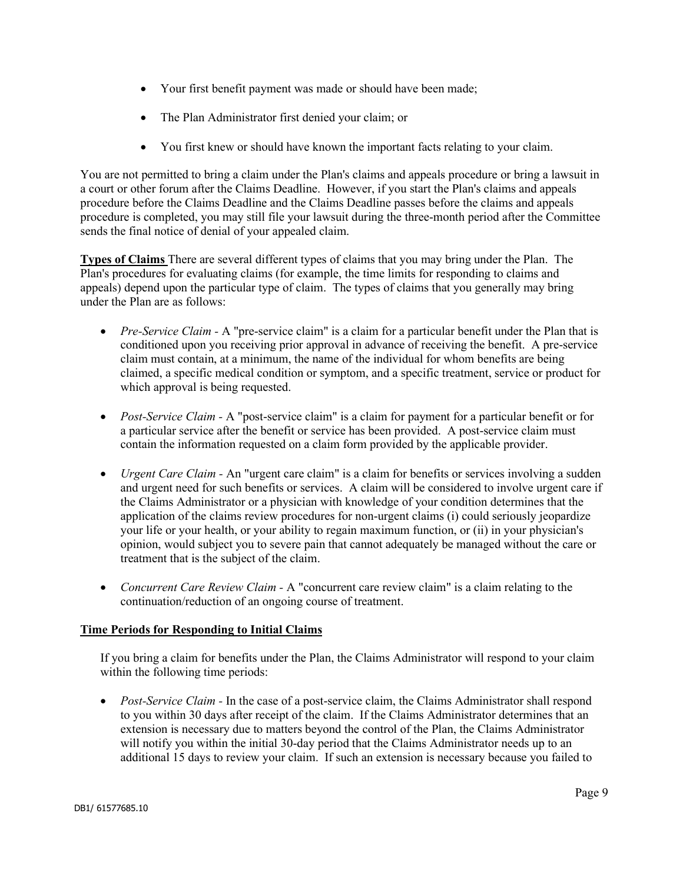- Your first benefit payment was made or should have been made;
- The Plan Administrator first denied your claim; or
- You first knew or should have known the important facts relating to your claim.

You are not permitted to bring a claim under the Plan's claims and appeals procedure or bring a lawsuit in a court or other forum after the Claims Deadline. However, if you start the Plan's claims and appeals procedure before the Claims Deadline and the Claims Deadline passes before the claims and appeals procedure is completed, you may still file your lawsuit during the three-month period after the Committee sends the final notice of denial of your appealed claim.

**Types of Claims** There are several different types of claims that you may bring under the Plan. The Plan's procedures for evaluating claims (for example, the time limits for responding to claims and appeals) depend upon the particular type of claim. The types of claims that you generally may bring under the Plan are as follows:

- *Pre-Service Claim -* A "pre-service claim" is a claim for a particular benefit under the Plan that is conditioned upon you receiving prior approval in advance of receiving the benefit. A pre-service claim must contain, at a minimum, the name of the individual for whom benefits are being claimed, a specific medical condition or symptom, and a specific treatment, service or product for which approval is being requested.
- *Post-Service Claim -* A "post-service claim" is a claim for payment for a particular benefit or for a particular service after the benefit or service has been provided. A post-service claim must contain the information requested on a claim form provided by the applicable provider.
- *Urgent Care Claim -* An "urgent care claim" is a claim for benefits or services involving a sudden and urgent need for such benefits or services. A claim will be considered to involve urgent care if the Claims Administrator or a physician with knowledge of your condition determines that the application of the claims review procedures for non-urgent claims (i) could seriously jeopardize your life or your health, or your ability to regain maximum function, or (ii) in your physician's opinion, would subject you to severe pain that cannot adequately be managed without the care or treatment that is the subject of the claim.
- *Concurrent Care Review Claim -* A "concurrent care review claim" is a claim relating to the continuation/reduction of an ongoing course of treatment.

### **Time Periods for Responding to Initial Claims**

If you bring a claim for benefits under the Plan, the Claims Administrator will respond to your claim within the following time periods:

• *Post-Service Claim* - In the case of a post-service claim, the Claims Administrator shall respond to you within 30 days after receipt of the claim. If the Claims Administrator determines that an extension is necessary due to matters beyond the control of the Plan, the Claims Administrator will notify you within the initial 30-day period that the Claims Administrator needs up to an additional 15 days to review your claim. If such an extension is necessary because you failed to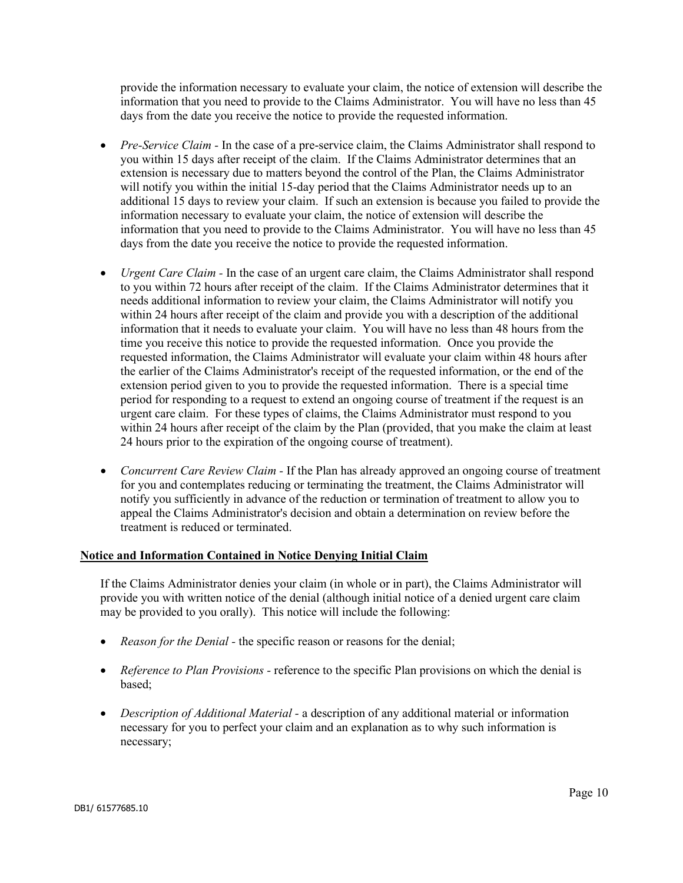provide the information necessary to evaluate your claim, the notice of extension will describe the information that you need to provide to the Claims Administrator. You will have no less than 45 days from the date you receive the notice to provide the requested information.

- *Pre-Service Claim -* In the case of a pre-service claim, the Claims Administrator shall respond to you within 15 days after receipt of the claim. If the Claims Administrator determines that an extension is necessary due to matters beyond the control of the Plan, the Claims Administrator will notify you within the initial 15-day period that the Claims Administrator needs up to an additional 15 days to review your claim. If such an extension is because you failed to provide the information necessary to evaluate your claim, the notice of extension will describe the information that you need to provide to the Claims Administrator. You will have no less than 45 days from the date you receive the notice to provide the requested information.
- *Urgent Care Claim* In the case of an urgent care claim, the Claims Administrator shall respond to you within 72 hours after receipt of the claim. If the Claims Administrator determines that it needs additional information to review your claim, the Claims Administrator will notify you within 24 hours after receipt of the claim and provide you with a description of the additional information that it needs to evaluate your claim. You will have no less than 48 hours from the time you receive this notice to provide the requested information. Once you provide the requested information, the Claims Administrator will evaluate your claim within 48 hours after the earlier of the Claims Administrator's receipt of the requested information, or the end of the extension period given to you to provide the requested information. There is a special time period for responding to a request to extend an ongoing course of treatment if the request is an urgent care claim. For these types of claims, the Claims Administrator must respond to you within 24 hours after receipt of the claim by the Plan (provided, that you make the claim at least 24 hours prior to the expiration of the ongoing course of treatment).
- *Concurrent Care Review Claim* If the Plan has already approved an ongoing course of treatment for you and contemplates reducing or terminating the treatment, the Claims Administrator will notify you sufficiently in advance of the reduction or termination of treatment to allow you to appeal the Claims Administrator's decision and obtain a determination on review before the treatment is reduced or terminated.

### **Notice and Information Contained in Notice Denying Initial Claim**

If the Claims Administrator denies your claim (in whole or in part), the Claims Administrator will provide you with written notice of the denial (although initial notice of a denied urgent care claim may be provided to you orally). This notice will include the following:

- *Reason for the Denial* the specific reason or reasons for the denial;
- *Reference to Plan Provisions* reference to the specific Plan provisions on which the denial is based;
- *Description of Additional Material -* a description of any additional material or information necessary for you to perfect your claim and an explanation as to why such information is necessary;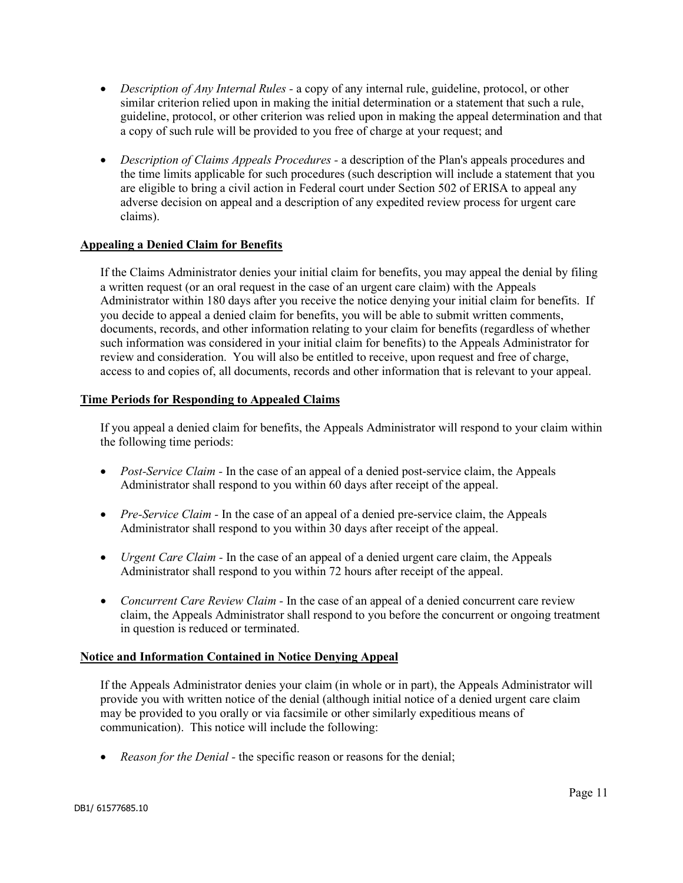- *Description of Any Internal Rules -* a copy of any internal rule, guideline, protocol, or other similar criterion relied upon in making the initial determination or a statement that such a rule, guideline, protocol, or other criterion was relied upon in making the appeal determination and that a copy of such rule will be provided to you free of charge at your request; and
- *Description of Claims Appeals Procedures -* a description of the Plan's appeals procedures and the time limits applicable for such procedures (such description will include a statement that you are eligible to bring a civil action in Federal court under Section 502 of ERISA to appeal any adverse decision on appeal and a description of any expedited review process for urgent care claims).

### **Appealing a Denied Claim for Benefits**

If the Claims Administrator denies your initial claim for benefits, you may appeal the denial by filing a written request (or an oral request in the case of an urgent care claim) with the Appeals Administrator within 180 days after you receive the notice denying your initial claim for benefits. If you decide to appeal a denied claim for benefits, you will be able to submit written comments, documents, records, and other information relating to your claim for benefits (regardless of whether such information was considered in your initial claim for benefits) to the Appeals Administrator for review and consideration. You will also be entitled to receive, upon request and free of charge, access to and copies of, all documents, records and other information that is relevant to your appeal.

### **Time Periods for Responding to Appealed Claims**

If you appeal a denied claim for benefits, the Appeals Administrator will respond to your claim within the following time periods:

- *Post-Service Claim* In the case of an appeal of a denied post-service claim, the Appeals Administrator shall respond to you within 60 days after receipt of the appeal.
- *Pre-Service Claim* In the case of an appeal of a denied pre-service claim, the Appeals Administrator shall respond to you within 30 days after receipt of the appeal.
- *Urgent Care Claim* In the case of an appeal of a denied urgent care claim, the Appeals Administrator shall respond to you within 72 hours after receipt of the appeal.
- *Concurrent Care Review Claim* In the case of an appeal of a denied concurrent care review claim, the Appeals Administrator shall respond to you before the concurrent or ongoing treatment in question is reduced or terminated.

#### **Notice and Information Contained in Notice Denying Appeal**

If the Appeals Administrator denies your claim (in whole or in part), the Appeals Administrator will provide you with written notice of the denial (although initial notice of a denied urgent care claim may be provided to you orally or via facsimile or other similarly expeditious means of communication). This notice will include the following:

*Reason for the Denial* - the specific reason or reasons for the denial;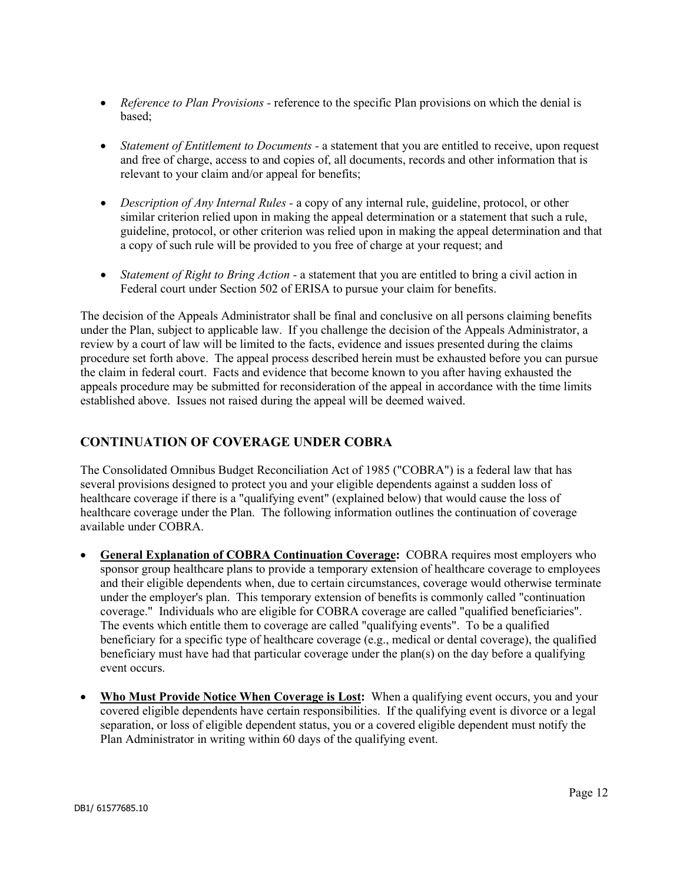- *Reference to Plan Provisions* reference to the specific Plan provisions on which the denial is based;
- *Statement of Entitlement to Documents -* a statement that you are entitled to receive, upon request and free of charge, access to and copies of, all documents, records and other information that is relevant to your claim and/or appeal for benefits;
- *Description of Any Internal Rules -* a copy of any internal rule, guideline, protocol, or other similar criterion relied upon in making the appeal determination or a statement that such a rule, guideline, protocol, or other criterion was relied upon in making the appeal determination and that a copy of such rule will be provided to you free of charge at your request; and
- *Statement of Right to Bring Action -* a statement that you are entitled to bring a civil action in Federal court under Section 502 of ERISA to pursue your claim for benefits.

The decision of the Appeals Administrator shall be final and conclusive on all persons claiming benefits under the Plan, subject to applicable law. If you challenge the decision of the Appeals Administrator, a review by a court of law will be limited to the facts, evidence and issues presented during the claims procedure set forth above. The appeal process described herein must be exhausted before you can pursue the claim in federal court. Facts and evidence that become known to you after having exhausted the appeals procedure may be submitted for reconsideration of the appeal in accordance with the time limits established above. Issues not raised during the appeal will be deemed waived.

## <span id="page-13-0"></span>**CONTINUATION OF COVERAGE UNDER COBRA**

The Consolidated Omnibus Budget Reconciliation Act of 1985 ("COBRA") is a federal law that has several provisions designed to protect you and your eligible dependents against a sudden loss of healthcare coverage if there is a "qualifying event" (explained below) that would cause the loss of healthcare coverage under the Plan. The following information outlines the continuation of coverage available under COBRA.

- **General Explanation of COBRA Continuation Coverage:** COBRA requires most employers who sponsor group healthcare plans to provide a temporary extension of healthcare coverage to employees and their eligible dependents when, due to certain circumstances, coverage would otherwise terminate under the employer's plan. This temporary extension of benefits is commonly called "continuation coverage." Individuals who are eligible for COBRA coverage are called "qualified beneficiaries". The events which entitle them to coverage are called "qualifying events". To be a qualified beneficiary for a specific type of healthcare coverage (e.g., medical or dental coverage), the qualified beneficiary must have had that particular coverage under the plan(s) on the day before a qualifying event occurs.
- **Who Must Provide Notice When Coverage is Lost:** When a qualifying event occurs, you and your covered eligible dependents have certain responsibilities. If the qualifying event is divorce or a legal separation, or loss of eligible dependent status, you or a covered eligible dependent must notify the Plan Administrator in writing within 60 days of the qualifying event.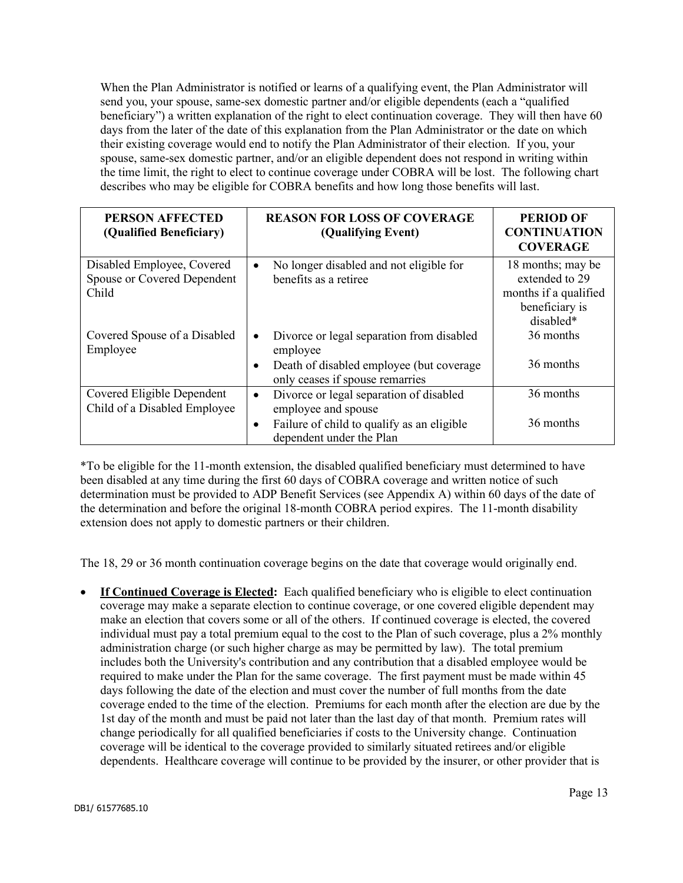When the Plan Administrator is notified or learns of a qualifying event, the Plan Administrator will send you, your spouse, same-sex domestic partner and/or eligible dependents (each a "qualified beneficiary") a written explanation of the right to elect continuation coverage. They will then have 60 days from the later of the date of this explanation from the Plan Administrator or the date on which their existing coverage would end to notify the Plan Administrator of their election. If you, your spouse, same-sex domestic partner, and/or an eligible dependent does not respond in writing within the time limit, the right to elect to continue coverage under COBRA will be lost. The following chart describes who may be eligible for COBRA benefits and how long those benefits will last.

| <b>PERSON AFFECTED</b><br>(Qualified Beneficiary)                  | <b>REASON FOR LOSS OF COVERAGE</b><br>(Qualifying Event)                                 | <b>PERIOD OF</b><br><b>CONTINUATION</b><br><b>COVERAGE</b>                                  |
|--------------------------------------------------------------------|------------------------------------------------------------------------------------------|---------------------------------------------------------------------------------------------|
| Disabled Employee, Covered<br>Spouse or Covered Dependent<br>Child | No longer disabled and not eligible for<br>$\bullet$<br>benefits as a retiree            | 18 months; may be<br>extended to 29<br>months if a qualified<br>beneficiary is<br>disabled* |
| Covered Spouse of a Disabled<br>Employee                           | Divorce or legal separation from disabled<br>$\bullet$<br>employee                       | 36 months                                                                                   |
|                                                                    | Death of disabled employee (but coverage<br>$\bullet$<br>only ceases if spouse remarries | 36 months                                                                                   |
| Covered Eligible Dependent<br>Child of a Disabled Employee         | Divorce or legal separation of disabled<br>$\bullet$<br>employee and spouse              | 36 months                                                                                   |
|                                                                    | Failure of child to qualify as an eligible<br>$\bullet$<br>dependent under the Plan      | 36 months                                                                                   |

\*To be eligible for the 11-month extension, the disabled qualified beneficiary must determined to have been disabled at any time during the first 60 days of COBRA coverage and written notice of such determination must be provided to ADP Benefit Services (see Appendix A) within 60 days of the date of the determination and before the original 18-month COBRA period expires. The 11-month disability extension does not apply to domestic partners or their children.

The 18, 29 or 36 month continuation coverage begins on the date that coverage would originally end.

• **If Continued Coverage is Elected:** Each qualified beneficiary who is eligible to elect continuation coverage may make a separate election to continue coverage, or one covered eligible dependent may make an election that covers some or all of the others. If continued coverage is elected, the covered individual must pay a total premium equal to the cost to the Plan of such coverage, plus a 2% monthly administration charge (or such higher charge as may be permitted by law). The total premium includes both the University's contribution and any contribution that a disabled employee would be required to make under the Plan for the same coverage. The first payment must be made within 45 days following the date of the election and must cover the number of full months from the date coverage ended to the time of the election. Premiums for each month after the election are due by the 1st day of the month and must be paid not later than the last day of that month. Premium rates will change periodically for all qualified beneficiaries if costs to the University change. Continuation coverage will be identical to the coverage provided to similarly situated retirees and/or eligible dependents. Healthcare coverage will continue to be provided by the insurer, or other provider that is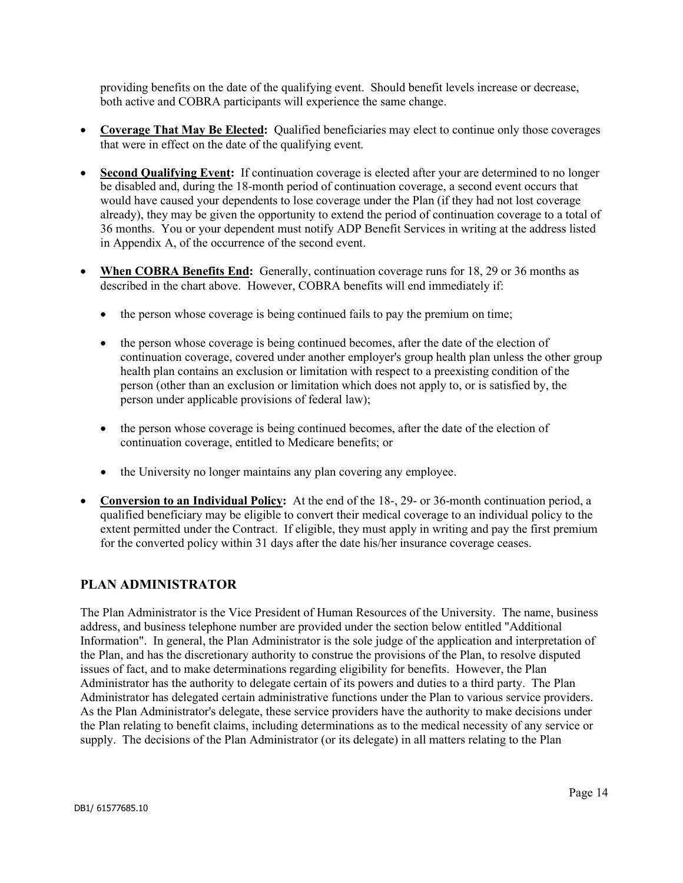providing benefits on the date of the qualifying event. Should benefit levels increase or decrease, both active and COBRA participants will experience the same change.

- **Coverage That May Be Elected:** Qualified beneficiaries may elect to continue only those coverages that were in effect on the date of the qualifying event.
- **Second Qualifying Event:** If continuation coverage is elected after your are determined to no longer be disabled and, during the 18-month period of continuation coverage, a second event occurs that would have caused your dependents to lose coverage under the Plan (if they had not lost coverage already), they may be given the opportunity to extend the period of continuation coverage to a total of 36 months. You or your dependent must notify ADP Benefit Services in writing at the address listed in Appendix A, of the occurrence of the second event.
- **When COBRA Benefits End:** Generally, continuation coverage runs for 18, 29 or 36 months as described in the chart above. However, COBRA benefits will end immediately if:
	- the person whose coverage is being continued fails to pay the premium on time;
	- the person whose coverage is being continued becomes, after the date of the election of continuation coverage, covered under another employer's group health plan unless the other group health plan contains an exclusion or limitation with respect to a preexisting condition of the person (other than an exclusion or limitation which does not apply to, or is satisfied by, the person under applicable provisions of federal law);
	- the person whose coverage is being continued becomes, after the date of the election of continuation coverage, entitled to Medicare benefits; or
	- the University no longer maintains any plan covering any employee.
- **Conversion to an Individual Policy:** At the end of the 18-, 29- or 36-month continuation period, a qualified beneficiary may be eligible to convert their medical coverage to an individual policy to the extent permitted under the Contract. If eligible, they must apply in writing and pay the first premium for the converted policy within 31 days after the date his/her insurance coverage ceases.

## <span id="page-15-0"></span>**PLAN ADMINISTRATOR**

The Plan Administrator is the Vice President of Human Resources of the University. The name, business address, and business telephone number are provided under the section below entitled "Additional Information". In general, the Plan Administrator is the sole judge of the application and interpretation of the Plan, and has the discretionary authority to construe the provisions of the Plan, to resolve disputed issues of fact, and to make determinations regarding eligibility for benefits. However, the Plan Administrator has the authority to delegate certain of its powers and duties to a third party. The Plan Administrator has delegated certain administrative functions under the Plan to various service providers. As the Plan Administrator's delegate, these service providers have the authority to make decisions under the Plan relating to benefit claims, including determinations as to the medical necessity of any service or supply. The decisions of the Plan Administrator (or its delegate) in all matters relating to the Plan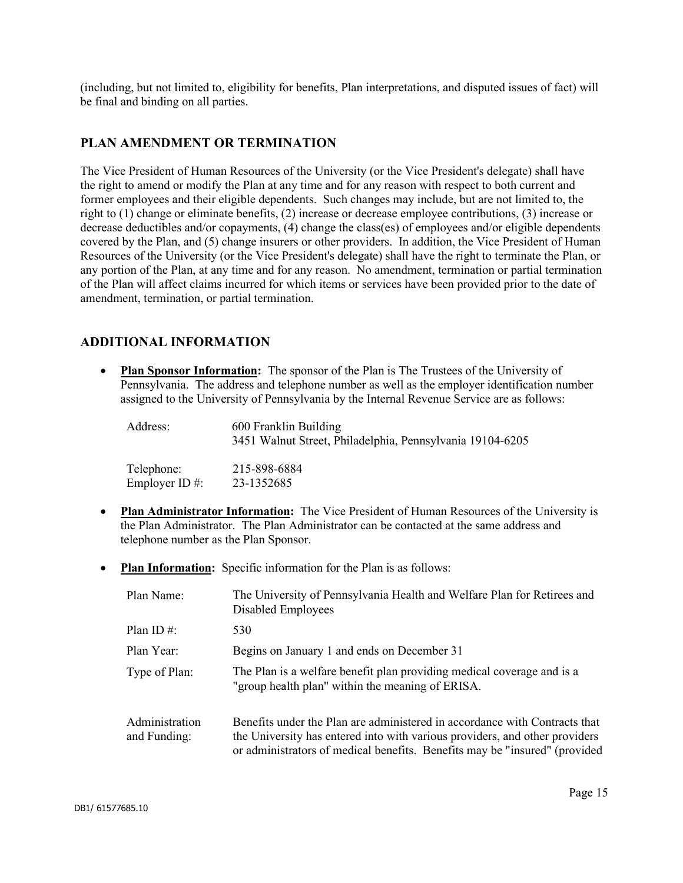(including, but not limited to, eligibility for benefits, Plan interpretations, and disputed issues of fact) will be final and binding on all parties.

### <span id="page-16-0"></span>**PLAN AMENDMENT OR TERMINATION**

The Vice President of Human Resources of the University (or the Vice President's delegate) shall have the right to amend or modify the Plan at any time and for any reason with respect to both current and former employees and their eligible dependents. Such changes may include, but are not limited to, the right to (1) change or eliminate benefits, (2) increase or decrease employee contributions, (3) increase or decrease deductibles and/or copayments, (4) change the class(es) of employees and/or eligible dependents covered by the Plan, and (5) change insurers or other providers. In addition, the Vice President of Human Resources of the University (or the Vice President's delegate) shall have the right to terminate the Plan, or any portion of the Plan, at any time and for any reason. No amendment, termination or partial termination of the Plan will affect claims incurred for which items or services have been provided prior to the date of amendment, termination, or partial termination.

### <span id="page-16-1"></span>**ADDITIONAL INFORMATION**

• **Plan Sponsor Information:** The sponsor of the Plan is The Trustees of the University of Pennsylvania. The address and telephone number as well as the employer identification number assigned to the University of Pennsylvania by the Internal Revenue Service are as follows:

| Address:          | 600 Franklin Building<br>3451 Walnut Street, Philadelphia, Pennsylvania 19104-6205 |
|-------------------|------------------------------------------------------------------------------------|
| Telephone:        | 215-898-6884                                                                       |
| Employer ID $#$ : | 23-1352685                                                                         |

- **Plan Administrator Information:** The Vice President of Human Resources of the University is the Plan Administrator. The Plan Administrator can be contacted at the same address and telephone number as the Plan Sponsor.
- **Plan Information:** Specific information for the Plan is as follows:

| Plan Name:                     | The University of Pennsylvania Health and Welfare Plan for Retirees and<br>Disabled Employees                                                             |
|--------------------------------|-----------------------------------------------------------------------------------------------------------------------------------------------------------|
| Plan ID $#$ :                  | 530                                                                                                                                                       |
| Plan Year:                     | Begins on January 1 and ends on December 31                                                                                                               |
| Type of Plan:                  | The Plan is a welfare benefit plan providing medical coverage and is a<br>"group health plan" within the meaning of ERISA.                                |
| Administration<br>and Funding: | Benefits under the Plan are administered in accordance with Contracts that<br>the University has entered into with various providers, and other providers |

or administrators of medical benefits. Benefits may be "insured" (provided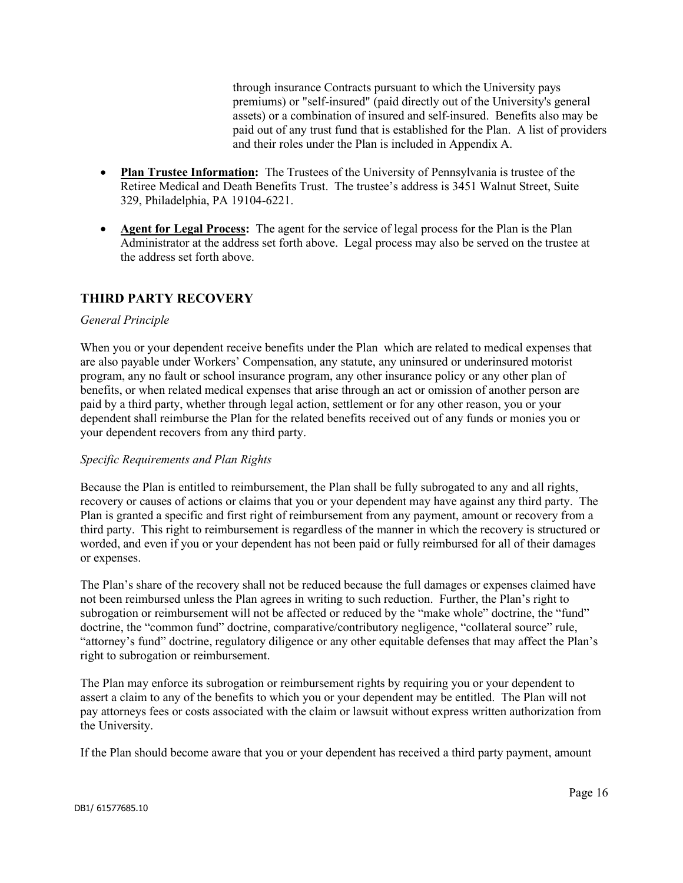through insurance Contracts pursuant to which the University pays premiums) or "self-insured" (paid directly out of the University's general assets) or a combination of insured and self-insured. Benefits also may be paid out of any trust fund that is established for the Plan. A list of providers and their roles under the Plan is included in Appendix A.

- **Plan Trustee Information:** The Trustees of the University of Pennsylvania is trustee of the Retiree Medical and Death Benefits Trust. The trustee's address is 3451 Walnut Street, Suite 329, Philadelphia, PA 19104-6221.
- **Agent for Legal Process:** The agent for the service of legal process for the Plan is the Plan Administrator at the address set forth above. Legal process may also be served on the trustee at the address set forth above.

## <span id="page-17-0"></span>**THIRD PARTY RECOVERY**

#### *General Principle*

When you or your dependent receive benefits under the Plan which are related to medical expenses that are also payable under Workers' Compensation, any statute, any uninsured or underinsured motorist program, any no fault or school insurance program, any other insurance policy or any other plan of benefits, or when related medical expenses that arise through an act or omission of another person are paid by a third party, whether through legal action, settlement or for any other reason, you or your dependent shall reimburse the Plan for the related benefits received out of any funds or monies you or your dependent recovers from any third party.

### *Specific Requirements and Plan Rights*

Because the Plan is entitled to reimbursement, the Plan shall be fully subrogated to any and all rights, recovery or causes of actions or claims that you or your dependent may have against any third party. The Plan is granted a specific and first right of reimbursement from any payment, amount or recovery from a third party. This right to reimbursement is regardless of the manner in which the recovery is structured or worded, and even if you or your dependent has not been paid or fully reimbursed for all of their damages or expenses.

The Plan's share of the recovery shall not be reduced because the full damages or expenses claimed have not been reimbursed unless the Plan agrees in writing to such reduction. Further, the Plan's right to subrogation or reimbursement will not be affected or reduced by the "make whole" doctrine, the "fund" doctrine, the "common fund" doctrine, comparative/contributory negligence, "collateral source" rule, "attorney's fund" doctrine, regulatory diligence or any other equitable defenses that may affect the Plan's right to subrogation or reimbursement.

The Plan may enforce its subrogation or reimbursement rights by requiring you or your dependent to assert a claim to any of the benefits to which you or your dependent may be entitled. The Plan will not pay attorneys fees or costs associated with the claim or lawsuit without express written authorization from the University.

If the Plan should become aware that you or your dependent has received a third party payment, amount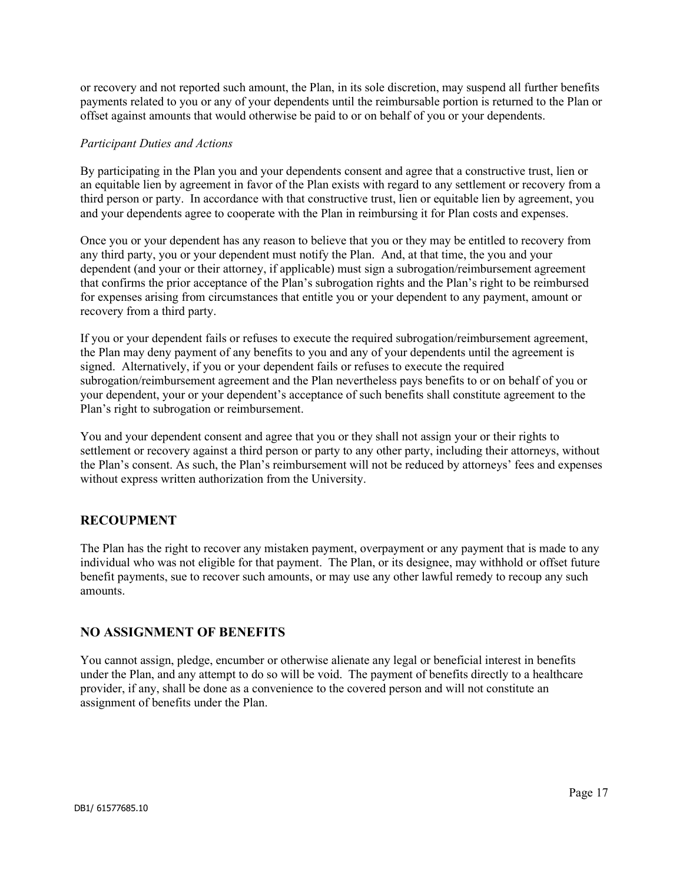or recovery and not reported such amount, the Plan, in its sole discretion, may suspend all further benefits payments related to you or any of your dependents until the reimbursable portion is returned to the Plan or offset against amounts that would otherwise be paid to or on behalf of you or your dependents.

### *Participant Duties and Actions*

By participating in the Plan you and your dependents consent and agree that a constructive trust, lien or an equitable lien by agreement in favor of the Plan exists with regard to any settlement or recovery from a third person or party. In accordance with that constructive trust, lien or equitable lien by agreement, you and your dependents agree to cooperate with the Plan in reimbursing it for Plan costs and expenses.

Once you or your dependent has any reason to believe that you or they may be entitled to recovery from any third party, you or your dependent must notify the Plan. And, at that time, the you and your dependent (and your or their attorney, if applicable) must sign a subrogation/reimbursement agreement that confirms the prior acceptance of the Plan's subrogation rights and the Plan's right to be reimbursed for expenses arising from circumstances that entitle you or your dependent to any payment, amount or recovery from a third party.

If you or your dependent fails or refuses to execute the required subrogation/reimbursement agreement, the Plan may deny payment of any benefits to you and any of your dependents until the agreement is signed. Alternatively, if you or your dependent fails or refuses to execute the required subrogation/reimbursement agreement and the Plan nevertheless pays benefits to or on behalf of you or your dependent, your or your dependent's acceptance of such benefits shall constitute agreement to the Plan's right to subrogation or reimbursement.

You and your dependent consent and agree that you or they shall not assign your or their rights to settlement or recovery against a third person or party to any other party, including their attorneys, without the Plan's consent. As such, the Plan's reimbursement will not be reduced by attorneys' fees and expenses without express written authorization from the University.

### <span id="page-18-0"></span>**RECOUPMENT**

The Plan has the right to recover any mistaken payment, overpayment or any payment that is made to any individual who was not eligible for that payment. The Plan, or its designee, may withhold or offset future benefit payments, sue to recover such amounts, or may use any other lawful remedy to recoup any such amounts.

### <span id="page-18-1"></span>**NO ASSIGNMENT OF BENEFITS**

You cannot assign, pledge, encumber or otherwise alienate any legal or beneficial interest in benefits under the Plan, and any attempt to do so will be void. The payment of benefits directly to a healthcare provider, if any, shall be done as a convenience to the covered person and will not constitute an assignment of benefits under the Plan.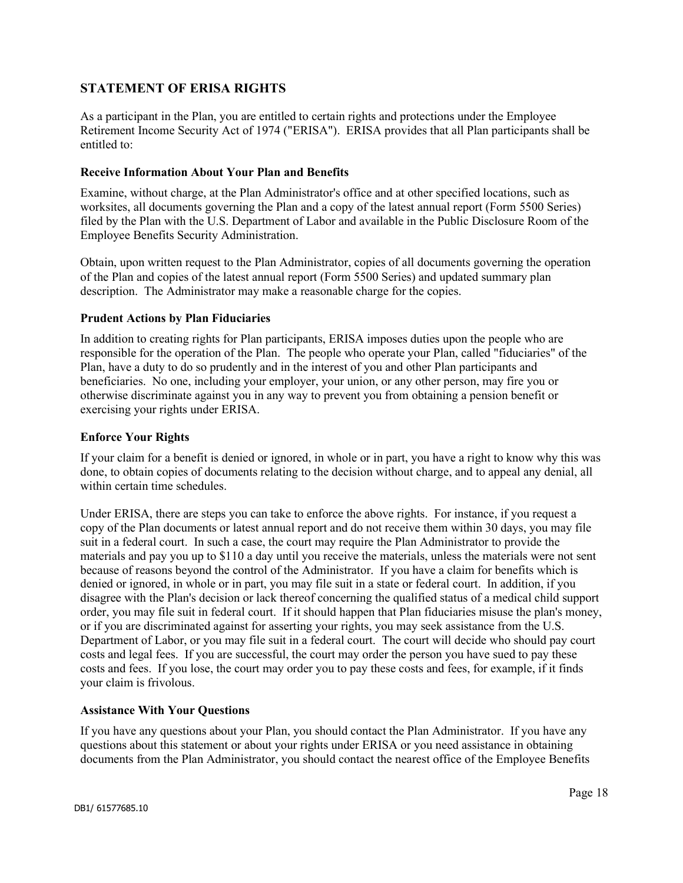## <span id="page-19-0"></span>**STATEMENT OF ERISA RIGHTS**

As a participant in the Plan, you are entitled to certain rights and protections under the Employee Retirement Income Security Act of 1974 ("ERISA"). ERISA provides that all Plan participants shall be entitled to:

#### **Receive Information About Your Plan and Benefits**

Examine, without charge, at the Plan Administrator's office and at other specified locations, such as worksites, all documents governing the Plan and a copy of the latest annual report (Form 5500 Series) filed by the Plan with the U.S. Department of Labor and available in the Public Disclosure Room of the Employee Benefits Security Administration.

Obtain, upon written request to the Plan Administrator, copies of all documents governing the operation of the Plan and copies of the latest annual report (Form 5500 Series) and updated summary plan description. The Administrator may make a reasonable charge for the copies.

### **Prudent Actions by Plan Fiduciaries**

In addition to creating rights for Plan participants, ERISA imposes duties upon the people who are responsible for the operation of the Plan. The people who operate your Plan, called "fiduciaries" of the Plan, have a duty to do so prudently and in the interest of you and other Plan participants and beneficiaries. No one, including your employer, your union, or any other person, may fire you or otherwise discriminate against you in any way to prevent you from obtaining a pension benefit or exercising your rights under ERISA.

#### **Enforce Your Rights**

If your claim for a benefit is denied or ignored, in whole or in part, you have a right to know why this was done, to obtain copies of documents relating to the decision without charge, and to appeal any denial, all within certain time schedules.

Under ERISA, there are steps you can take to enforce the above rights. For instance, if you request a copy of the Plan documents or latest annual report and do not receive them within 30 days, you may file suit in a federal court. In such a case, the court may require the Plan Administrator to provide the materials and pay you up to \$110 a day until you receive the materials, unless the materials were not sent because of reasons beyond the control of the Administrator. If you have a claim for benefits which is denied or ignored, in whole or in part, you may file suit in a state or federal court. In addition, if you disagree with the Plan's decision or lack thereof concerning the qualified status of a medical child support order, you may file suit in federal court. If it should happen that Plan fiduciaries misuse the plan's money, or if you are discriminated against for asserting your rights, you may seek assistance from the U.S. Department of Labor, or you may file suit in a federal court. The court will decide who should pay court costs and legal fees. If you are successful, the court may order the person you have sued to pay these costs and fees. If you lose, the court may order you to pay these costs and fees, for example, if it finds your claim is frivolous.

#### **Assistance With Your Questions**

If you have any questions about your Plan, you should contact the Plan Administrator. If you have any questions about this statement or about your rights under ERISA or you need assistance in obtaining documents from the Plan Administrator, you should contact the nearest office of the Employee Benefits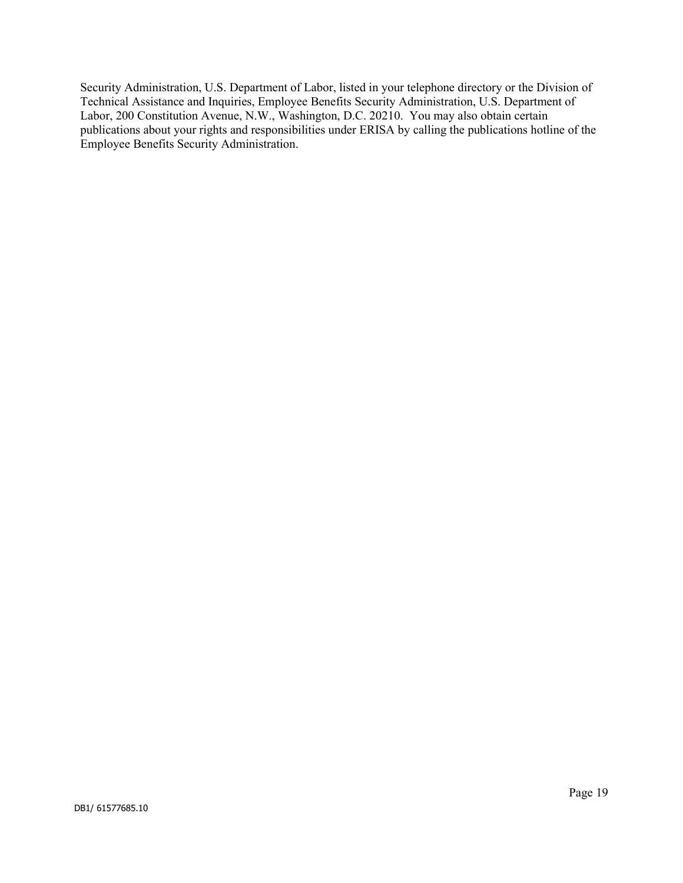Security Administration, U.S. Department of Labor, listed in your telephone directory or the Division of Technical Assistance and Inquiries, Employee Benefits Security Administration, U.S. Department of Labor, 200 Constitution Avenue, N.W., Washington, D.C. 20210. You may also obtain certain publications about your rights and responsibilities under ERISA by calling the publications hotline of the Employee Benefits Security Administration.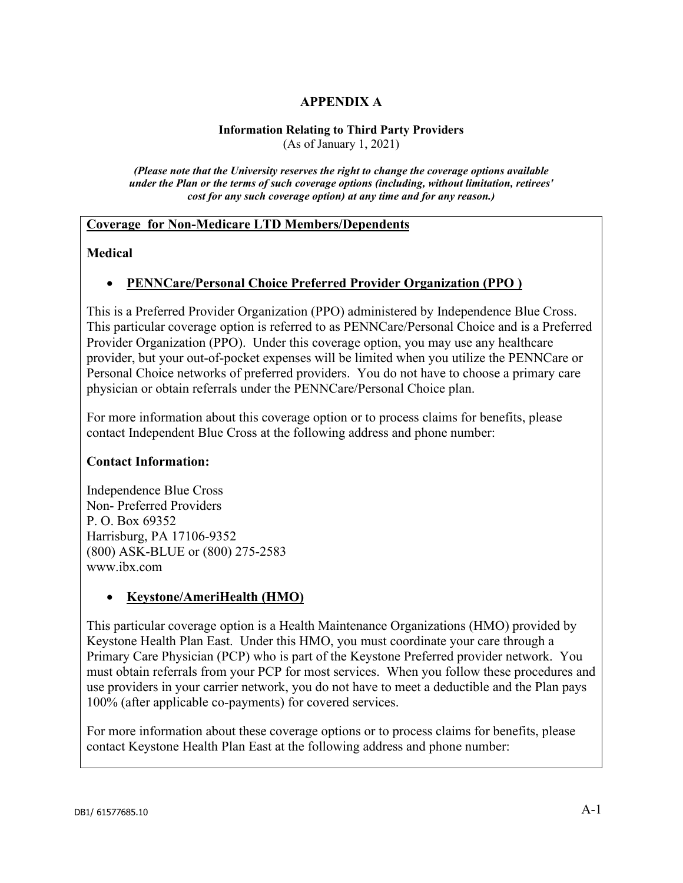# **APPENDIX A**

#### **Information Relating to Third Party Providers** (As of January 1, 2021)

<span id="page-21-0"></span>*(Please note that the University reserves the right to change the coverage options available under the Plan or the terms of such coverage options (including, without limitation, retirees' cost for any such coverage option) at any time and for any reason.)*

### **Coverage for Non-Medicare LTD Members/Dependents**

## **Medical**

## • **PENNCare/Personal Choice Preferred Provider Organization (PPO )**

This is a Preferred Provider Organization (PPO) administered by Independence Blue Cross. This particular coverage option is referred to as PENNCare/Personal Choice and is a Preferred Provider Organization (PPO). Under this coverage option, you may use any healthcare provider, but your out-of-pocket expenses will be limited when you utilize the PENNCare or Personal Choice networks of preferred providers. You do not have to choose a primary care physician or obtain referrals under the PENNCare/Personal Choice plan.

For more information about this coverage option or to process claims for benefits, please contact Independent Blue Cross at the following address and phone number:

### **Contact Information:**

Independence Blue Cross Non- Preferred Providers P. O. Box 69352 Harrisburg, PA 17106-9352 (800) ASK-BLUE or (800) 275-2583 www.ibx.com

### • **Keystone/AmeriHealth (HMO)**

This particular coverage option is a Health Maintenance Organizations (HMO) provided by Keystone Health Plan East. Under this HMO, you must coordinate your care through a Primary Care Physician (PCP) who is part of the Keystone Preferred provider network. You must obtain referrals from your PCP for most services. When you follow these procedures and use providers in your carrier network, you do not have to meet a deductible and the Plan pays 100% (after applicable co-payments) for covered services.

For more information about these coverage options or to process claims for benefits, please contact Keystone Health Plan East at the following address and phone number: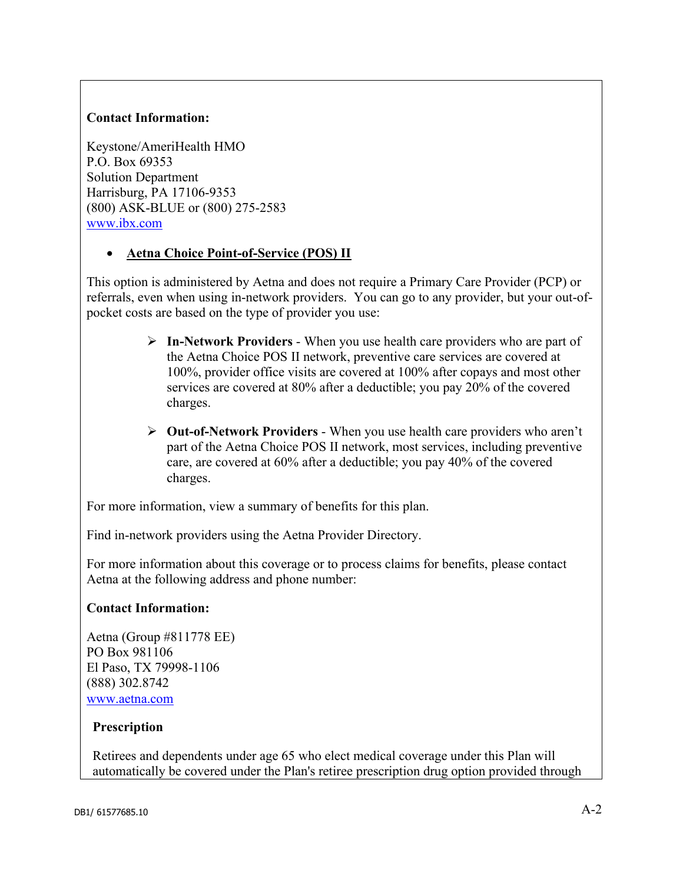## **Contact Information:**

Keystone/AmeriHealth HMO P.O. Box 69353 Solution Department Harrisburg, PA 17106-9353 (800) ASK-BLUE or (800) 275-2583 [www.ibx.com](http://www.ibx.com/)

## • **Aetna Choice Point-of-Service (POS) II**

This option is administered by Aetna and does not require a Primary Care Provider (PCP) or referrals, even when using in-network providers. You can go to any provider, but your out-ofpocket costs are based on the type of provider you use:

- **In-Network Providers** When you use health care providers who are part of the Aetna Choice POS II network, preventive care services are covered at 100%, provider office visits are covered at 100% after copays and most other services are covered at 80% after a deductible; you pay 20% of the covered charges.
- **Out-of-Network Providers** When you use health care providers who aren't part of the Aetna Choice POS II network, most services, including preventive care, are covered at 60% after a deductible; you pay 40% of the covered charges.

For more information, view a summary of benefits for this plan.

Find in-network providers using the Aetna Provider Directory.

For more information about this coverage or to process claims for benefits, please contact Aetna at the following address and phone number:

### **Contact Information:**

Aetna (Group #811778 EE) PO Box 981106 El Paso, TX 79998-1106 (888) 302.8742 [www.aetna.com](http://www.aetna.com/)

### **Prescription**

Retirees and dependents under age 65 who elect medical coverage under this Plan will automatically be covered under the Plan's retiree prescription drug option provided through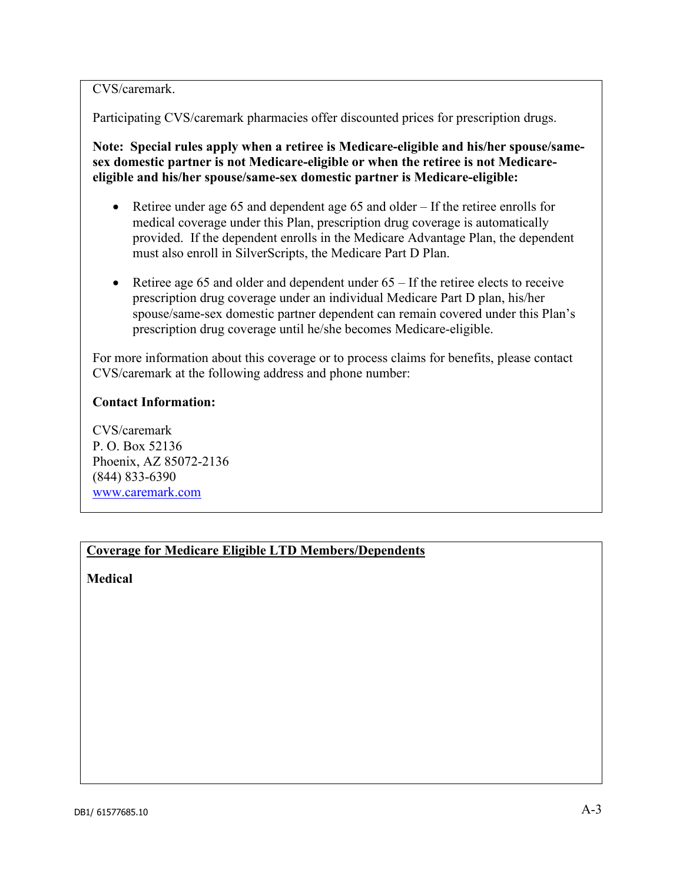CVS/caremark.

Participating CVS/caremark pharmacies offer discounted prices for prescription drugs.

**Note: Special rules apply when a retiree is Medicare-eligible and his/her spouse/samesex domestic partner is not Medicare-eligible or when the retiree is not Medicareeligible and his/her spouse/same-sex domestic partner is Medicare-eligible:**

- Retiree under age 65 and dependent age 65 and older If the retiree enrolls for medical coverage under this Plan, prescription drug coverage is automatically provided. If the dependent enrolls in the Medicare Advantage Plan, the dependent must also enroll in SilverScripts, the Medicare Part D Plan.
- Retiree age 65 and older and dependent under  $65 If$  the retiree elects to receive prescription drug coverage under an individual Medicare Part D plan, his/her spouse/same-sex domestic partner dependent can remain covered under this Plan's prescription drug coverage until he/she becomes Medicare-eligible.

For more information about this coverage or to process claims for benefits, please contact CVS/caremark at the following address and phone number:

## **Contact Information:**

CVS/caremark P. O. Box 52136 Phoenix, AZ 85072-2136 (844) 833-6390 [www.caremark.com](http://www.caremark.com/)

# **Coverage for Medicare Eligible LTD Members/Dependents**

**Medical**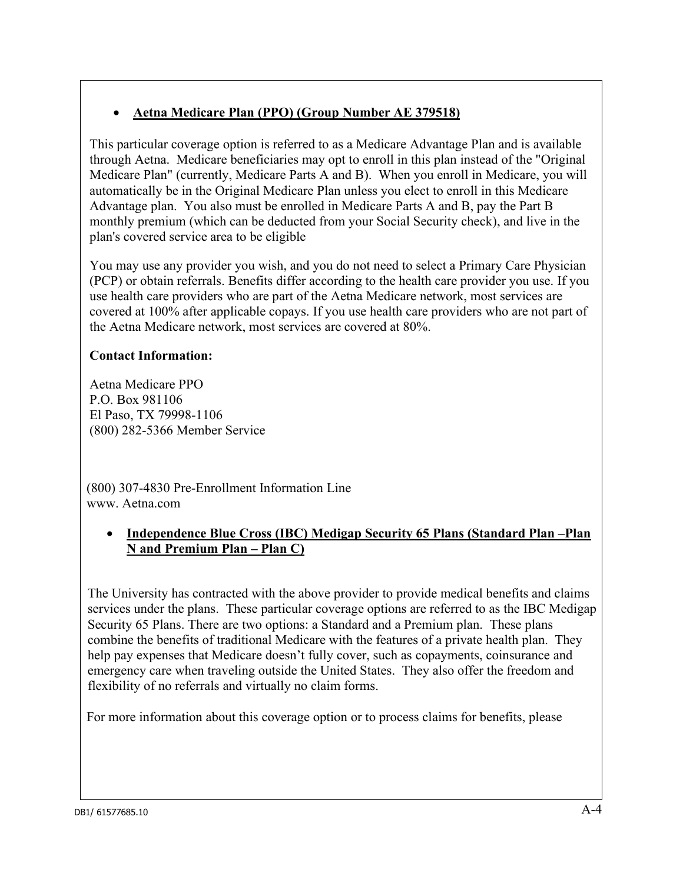# • **Aetna Medicare Plan (PPO) (Group Number AE 379518)**

This particular coverage option is referred to as a Medicare Advantage Plan and is available through Aetna. Medicare beneficiaries may opt to enroll in this plan instead of the "Original Medicare Plan" (currently, Medicare Parts A and B). When you enroll in Medicare, you will automatically be in the Original Medicare Plan unless you elect to enroll in this Medicare Advantage plan. You also must be enrolled in Medicare Parts A and B, pay the Part B monthly premium (which can be deducted from your Social Security check), and live in the plan's covered service area to be eligible

You may use any provider you wish, and you do not need to select a Primary Care Physician (PCP) or obtain referrals. Benefits differ according to the health care provider you use. If you use health care providers who are part of the Aetna Medicare network, most services are covered at 100% after applicable copays. If you use health care providers who are not part of the Aetna Medicare network, most services are covered at 80%.

## **Contact Information:**

Aetna Medicare PPO P.O. Box 981106 El Paso, TX 79998-1106 (800) 282-5366 Member Service

(800) 307-4830 Pre-Enrollment Information Line www. Aetna.com

## • **Independence Blue Cross (IBC) Medigap Security 65 Plans (Standard Plan –Plan N and Premium Plan – Plan C)**

The University has contracted with the above provider to provide medical benefits and claims services under the plans. These particular coverage options are referred to as the IBC Medigap Security 65 Plans. There are two options: a Standard and a Premium plan. These plans combine the benefits of traditional Medicare with the features of a private health plan. They help pay expenses that Medicare doesn't fully cover, such as copayments, coinsurance and emergency care when traveling outside the United States. They also offer the freedom and flexibility of no referrals and virtually no claim forms.

For more information about this coverage option or to process claims for benefits, please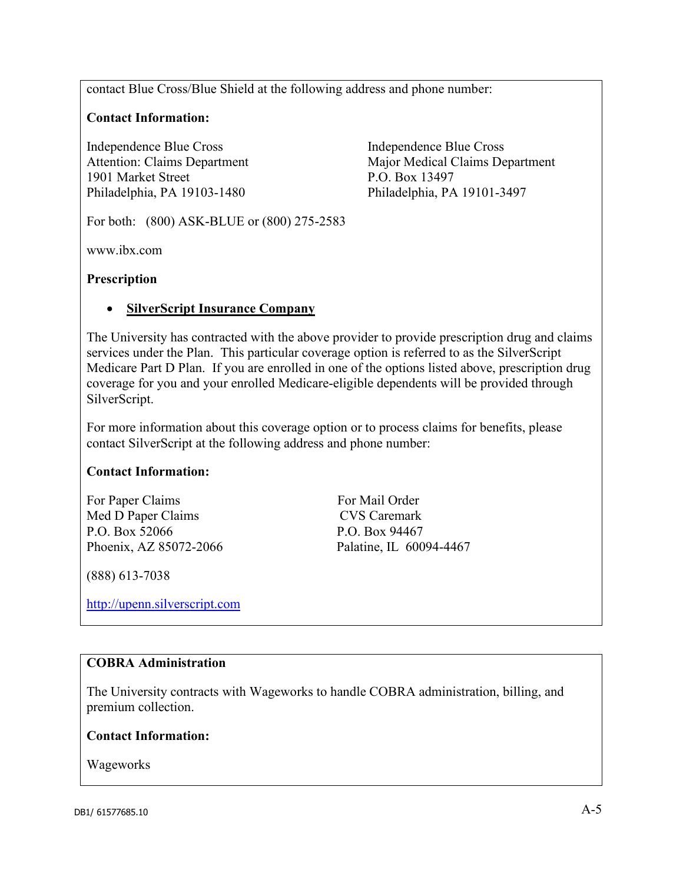contact Blue Cross/Blue Shield at the following address and phone number:

## **Contact Information:**

Independence Blue Cross Independence Blue Cross 1901 Market Street P.O. Box 13497 Philadelphia, PA 19103-1480 Philadelphia, PA 19101-3497

Attention: Claims Department Major Medical Claims Department

For both: (800) ASK-BLUE or (800) 275-2583

www.ibx.com

## **Prescription**

## • **SilverScript Insurance Company**

The University has contracted with the above provider to provide prescription drug and claims services under the Plan. This particular coverage option is referred to as the SilverScript Medicare Part D Plan. If you are enrolled in one of the options listed above, prescription drug coverage for you and your enrolled Medicare-eligible dependents will be provided through SilverScript.

For more information about this coverage option or to process claims for benefits, please contact SilverScript at the following address and phone number:

### **Contact Information:**

For Paper Claims For Mail Order Med D Paper Claims CVS Caremark P.O. Box 52066 P.O. Box 94467 Phoenix, AZ 85072-2066 Palatine, IL 60094-4467

(888) 613-7038

[http://upenn.silverscript.com](http://upenn.silverscript.com/)

## **COBRA Administration**

The University contracts with Wageworks to handle COBRA administration, billing, and premium collection.

### **Contact Information:**

Wageworks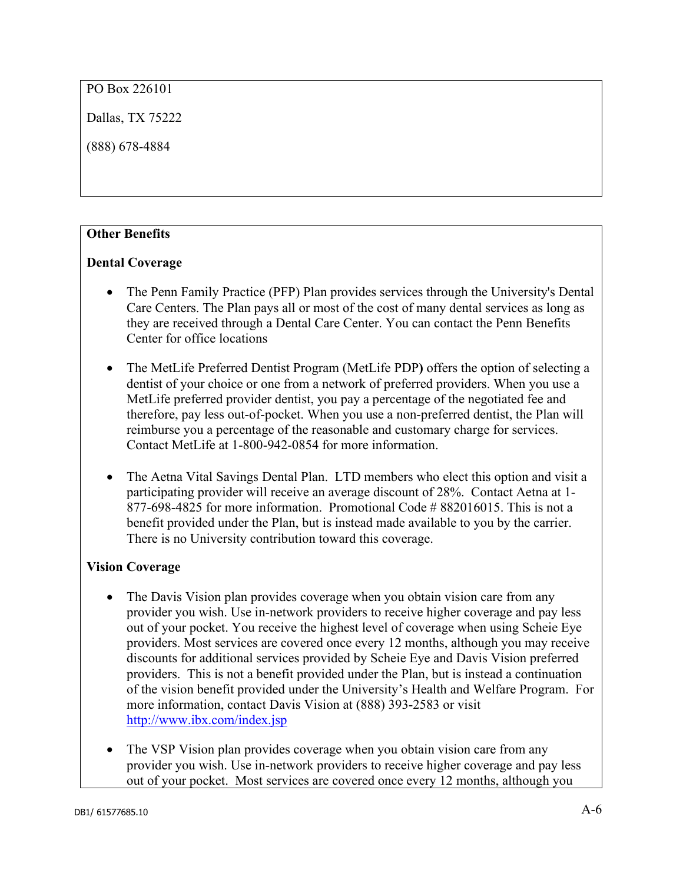## PO Box 226101

Dallas, TX 75222

(888) 678-4884

## **Other Benefits**

## **Dental Coverage**

- The Penn Family Practice (PFP) Plan provides services through the University's Dental Care Centers. The Plan pays all or most of the cost of many dental services as long as they are received through a Dental Care Center. You can contact the Penn Benefits Center for office locations
- The MetLife Preferred Dentist Program (MetLife PDP**)** offers the option of selecting a dentist of your choice or one from a network of preferred providers. When you use a MetLife preferred provider dentist, you pay a percentage of the negotiated fee and therefore, pay less out-of-pocket. When you use a non-preferred dentist, the Plan will reimburse you a percentage of the reasonable and customary charge for services. Contact MetLife at 1-800-942-0854 for more information.
- The Aetna Vital Savings Dental Plan. LTD members who elect this option and visit a participating provider will receive an average discount of 28%. Contact Aetna at 1- 877-698-4825 for more information. Promotional Code # 882016015. This is not a benefit provided under the Plan, but is instead made available to you by the carrier. There is no University contribution toward this coverage.

## **Vision Coverage**

- The Davis Vision plan provides coverage when you obtain vision care from any provider you wish. Use in-network providers to receive higher coverage and pay less out of your pocket. You receive the highest level of coverage when using Scheie Eye providers. Most services are covered once every 12 months, although you may receive discounts for additional services provided by Scheie Eye and Davis Vision preferred providers. This is not a benefit provided under the Plan, but is instead a continuation of the vision benefit provided under the University's Health and Welfare Program. For more information, contact Davis Vision at (888) 393-2583 or visit <http://www.ibx.com/index.jsp>
- The VSP Vision plan provides coverage when you obtain vision care from any provider you wish. Use in-network providers to receive higher coverage and pay less out of your pocket. Most services are covered once every 12 months, although you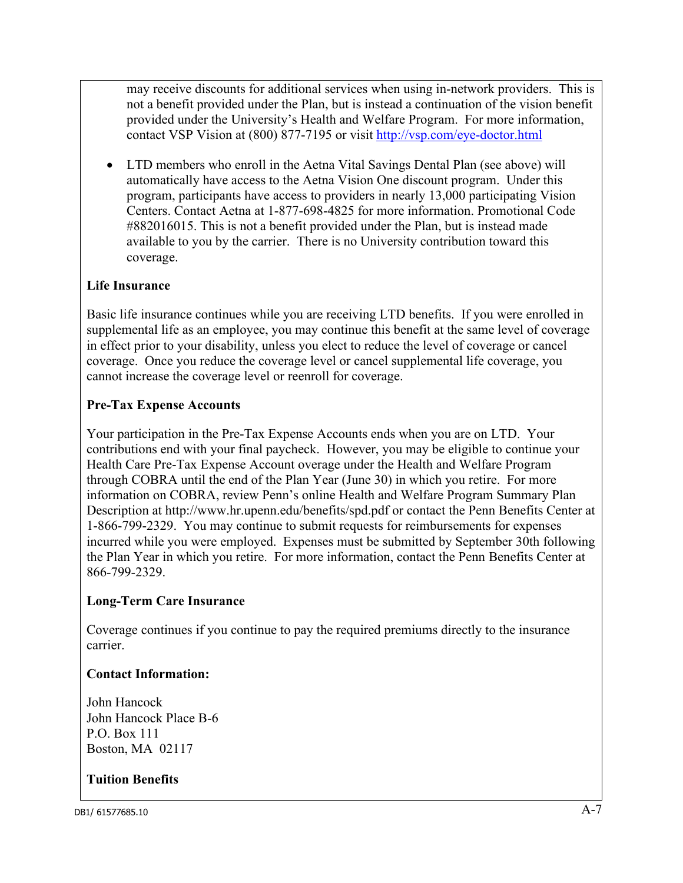may receive discounts for additional services when using in-network providers. This is not a benefit provided under the Plan, but is instead a continuation of the vision benefit provided under the University's Health and Welfare Program. For more information, contact VSP Vision at (800) 877-7195 or visit<http://vsp.com/eye-doctor.html>

• LTD members who enroll in the Aetna Vital Savings Dental Plan (see above) will automatically have access to the Aetna Vision One discount program. Under this program, participants have access to providers in nearly 13,000 participating Vision Centers. Contact Aetna at 1-877-698-4825 for more information. Promotional Code #882016015. This is not a benefit provided under the Plan, but is instead made available to you by the carrier. There is no University contribution toward this coverage.

# **Life Insurance**

Basic life insurance continues while you are receiving LTD benefits. If you were enrolled in supplemental life as an employee, you may continue this benefit at the same level of coverage in effect prior to your disability, unless you elect to reduce the level of coverage or cancel coverage. Once you reduce the coverage level or cancel supplemental life coverage, you cannot increase the coverage level or reenroll for coverage.

# **Pre-Tax Expense Accounts**

Your participation in the Pre-Tax Expense Accounts ends when you are on LTD. Your contributions end with your final paycheck. However, you may be eligible to continue your Health Care Pre-Tax Expense Account overage under the Health and Welfare Program through COBRA until the end of the Plan Year (June 30) in which you retire. For more information on COBRA, review Penn's online Health and Welfare Program Summary Plan Description at http://www.hr.upenn.edu/benefits/spd.pdf or contact the Penn Benefits Center at 1-866-799-2329. You may continue to submit requests for reimbursements for expenses incurred while you were employed. Expenses must be submitted by September 30th following the Plan Year in which you retire. For more information, contact the Penn Benefits Center at 866-799-2329.

# **Long-Term Care Insurance**

Coverage continues if you continue to pay the required premiums directly to the insurance carrier.

# **Contact Information:**

John Hancock John Hancock Place B-6 P.O. Box 111 Boston, MA 02117

**Tuition Benefits**